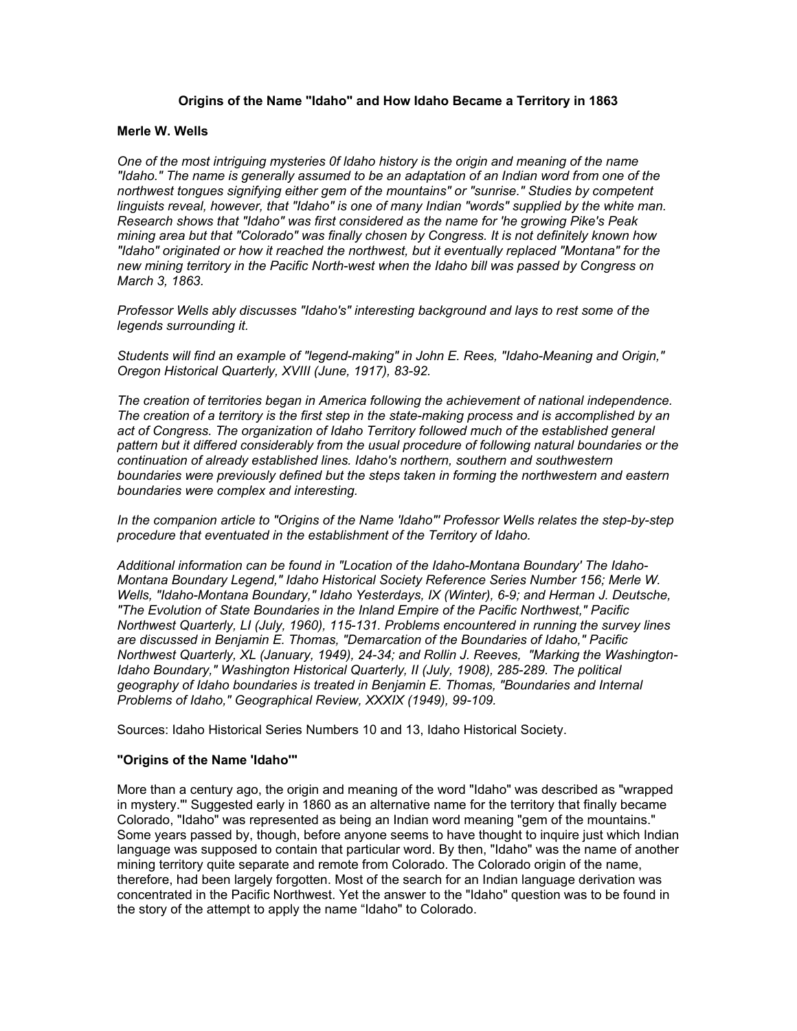# **Origins of the Name "Idaho" and How Idaho Became a Territory in 1863**

#### **Merle W. Wells**

*One of the most intriguing mysteries 0f ldaho history is the origin and meaning of the name "Idaho." The name is generally assumed to be an adaptation of an Indian word from one of the northwest tongues signifying either gem of the mountains" or "sunrise." Studies by competent linguists reveal, however, that "Idaho" is one of many Indian "words" supplied by the white man. Research shows that "Idaho" was first considered as the name for 'he growing Pike's Peak mining area but that "Colorado" was finally chosen by Congress. It is not definitely known how "Idaho" originated or how it reached the northwest, but it eventually replaced "Montana" for the new mining territory in the Pacific North-west when the Idaho bill was passed by Congress on March 3, 1863.* 

*Professor Wells ably discusses "Idaho's" interesting background and lays to rest some of the legends surrounding it.* 

*Students will find an example of "legend-making" in John E. Rees, "Idaho-Meaning and Origin," Oregon Historical Quarterly, XVIII (June, 1917), 83-92.* 

*The creation of territories began in America following the achievement of national independence. The creation of a territory is the first step in the state-making process and is accomplished by an*  act of Congress. The organization of Idaho Territory followed much of the established general *pattern but it differed considerably from the usual procedure of following natural boundaries or the continuation of already established lines. Idaho's northern, southern and southwestern boundaries were previously defined but the steps taken in forming the northwestern and eastern boundaries were complex and interesting.* 

*In the companion article to "Origins of the Name 'Idaho"' Professor Wells relates the step-by-step procedure that eventuated in the establishment of the Territory of Idaho.* 

*Additional information can be found in "Location of the Idaho-Montana Boundary' The Idaho-Montana Boundary Legend," Idaho Historical Society Reference Series Number 156; Merle W. Wells, "Idaho-Montana Boundary," Idaho Yesterdays, IX (Winter), 6-9; and Herman J. Deutsche, "The Evolution of State Boundaries in the Inland Empire of the Pacific Northwest," Pacific Northwest Quarterly, LI (July, 1960), 115-131. Problems encountered in running the survey lines are discussed in Benjamin E. Thomas, "Demarcation of the Boundaries of Idaho," Pacific Northwest Quarterly, XL (January, 1949), 24-34; and Rollin J. Reeves, "Marking the Washington-Idaho Boundary," Washington Historical Quarterly, II (July, 1908), 285-289. The political geography of Idaho boundaries is treated in Benjamin E. Thomas, "Boundaries and Internal Problems of Idaho," Geographical Review, XXXIX (1949), 99-109.* 

Sources: Idaho Historical Series Numbers 10 and 13, Idaho Historical Society.

### **"Origins of the Name 'Idaho'"**

More than a century ago, the origin and meaning of the word "Idaho" was described as "wrapped in mystery."' Suggested early in 1860 as an alternative name for the territory that finally became Colorado, "Idaho" was represented as being an Indian word meaning "gem of the mountains." Some years passed by, though, before anyone seems to have thought to inquire just which Indian language was supposed to contain that particular word. By then, "Idaho" was the name of another mining territory quite separate and remote from Colorado. The Colorado origin of the name, therefore, had been largely forgotten. Most of the search for an Indian language derivation was concentrated in the Pacific Northwest. Yet the answer to the "Idaho" question was to be found in the story of the attempt to apply the name "Idaho" to Colorado.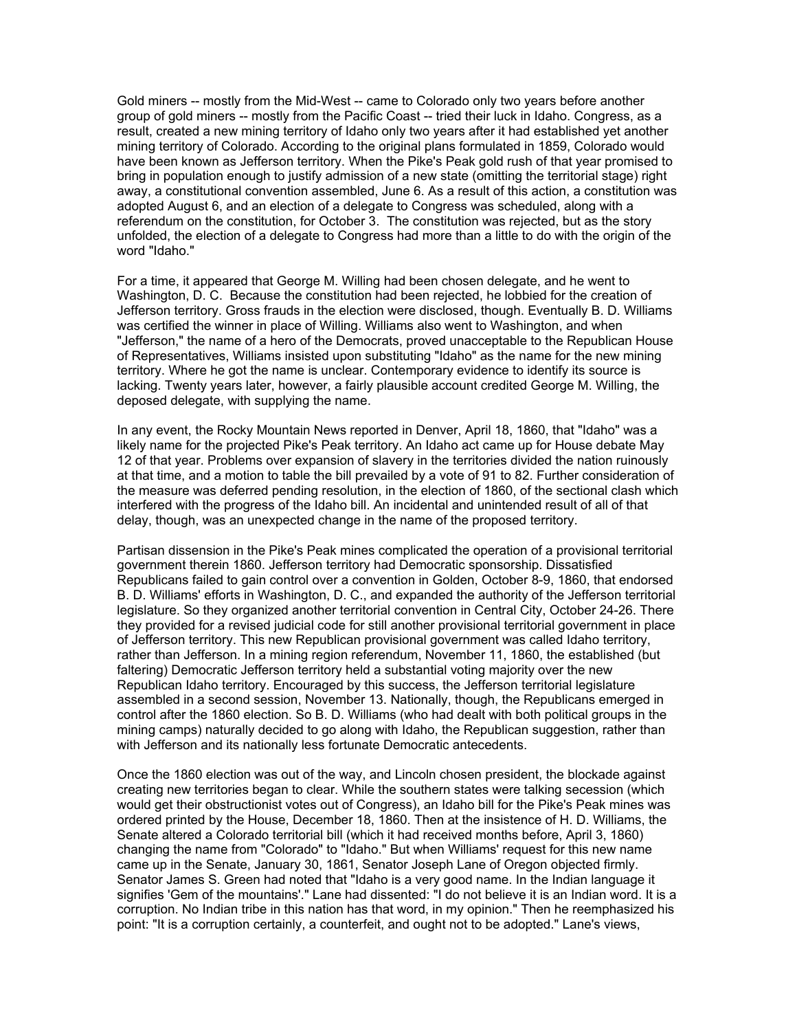Gold miners -- mostly from the Mid-West -- came to Colorado only two years before another group of gold miners -- mostly from the Pacific Coast -- tried their luck in Idaho. Congress, as a result, created a new mining territory of Idaho only two years after it had established yet another mining territory of Colorado. According to the original plans formulated in 1859, Colorado would have been known as Jefferson territory. When the Pike's Peak gold rush of that year promised to bring in population enough to justify admission of a new state (omitting the territorial stage) right away, a constitutional convention assembled, June 6. As a result of this action, a constitution was adopted August 6, and an election of a delegate to Congress was scheduled, along with a referendum on the constitution, for October 3. The constitution was rejected, but as the story unfolded, the election of a delegate to Congress had more than a little to do with the origin of the word "Idaho."

For a time, it appeared that George M. Willing had been chosen delegate, and he went to Washington, D. C. Because the constitution had been rejected, he lobbied for the creation of Jefferson territory. Gross frauds in the election were disclosed, though. Eventually B. D. Williams was certified the winner in place of Willing. Williams also went to Washington, and when "Jefferson," the name of a hero of the Democrats, proved unacceptable to the Republican House of Representatives, Williams insisted upon substituting "Idaho" as the name for the new mining territory. Where he got the name is unclear. Contemporary evidence to identify its source is lacking. Twenty years later, however, a fairly plausible account credited George M. Willing, the deposed delegate, with supplying the name.

In any event, the Rocky Mountain News reported in Denver, April 18, 1860, that "Idaho" was a likely name for the projected Pike's Peak territory. An Idaho act came up for House debate May 12 of that year. Problems over expansion of slavery in the territories divided the nation ruinously at that time, and a motion to table the bill prevailed by a vote of 91 to 82. Further consideration of the measure was deferred pending resolution, in the election of 1860, of the sectional clash which interfered with the progress of the Idaho bill. An incidental and unintended result of all of that delay, though, was an unexpected change in the name of the proposed territory.

Partisan dissension in the Pike's Peak mines complicated the operation of a provisional territorial government therein 1860. Jefferson territory had Democratic sponsorship. Dissatisfied Republicans failed to gain control over a convention in Golden, October 8-9, 1860, that endorsed B. D. Williams' efforts in Washington, D. C., and expanded the authority of the Jefferson territorial legislature. So they organized another territorial convention in Central City, October 24-26. There they provided for a revised judicial code for still another provisional territorial government in place of Jefferson territory. This new Republican provisional government was called Idaho territory, rather than Jefferson. In a mining region referendum, November 11, 1860, the established (but faltering) Democratic Jefferson territory held a substantial voting majority over the new Republican Idaho territory. Encouraged by this success, the Jefferson territorial legislature assembled in a second session, November 13. Nationally, though, the Republicans emerged in control after the 1860 election. So B. D. Williams (who had dealt with both political groups in the mining camps) naturally decided to go along with Idaho, the Republican suggestion, rather than with Jefferson and its nationally less fortunate Democratic antecedents.

Once the 1860 election was out of the way, and Lincoln chosen president, the blockade against creating new territories began to clear. While the southern states were talking secession (which would get their obstructionist votes out of Congress), an Idaho bill for the Pike's Peak mines was ordered printed by the House, December 18, 1860. Then at the insistence of H. D. Williams, the Senate altered a Colorado territorial bill (which it had received months before, April 3, 1860) changing the name from "Colorado" to "Idaho." But when Williams' request for this new name came up in the Senate, January 30, 1861, Senator Joseph Lane of Oregon objected firmly. Senator James S. Green had noted that "Idaho is a very good name. In the Indian language it signifies 'Gem of the mountains'." Lane had dissented: "I do not believe it is an Indian word. It is a corruption. No Indian tribe in this nation has that word, in my opinion." Then he reemphasized his point: "It is a corruption certainly, a counterfeit, and ought not to be adopted." Lane's views,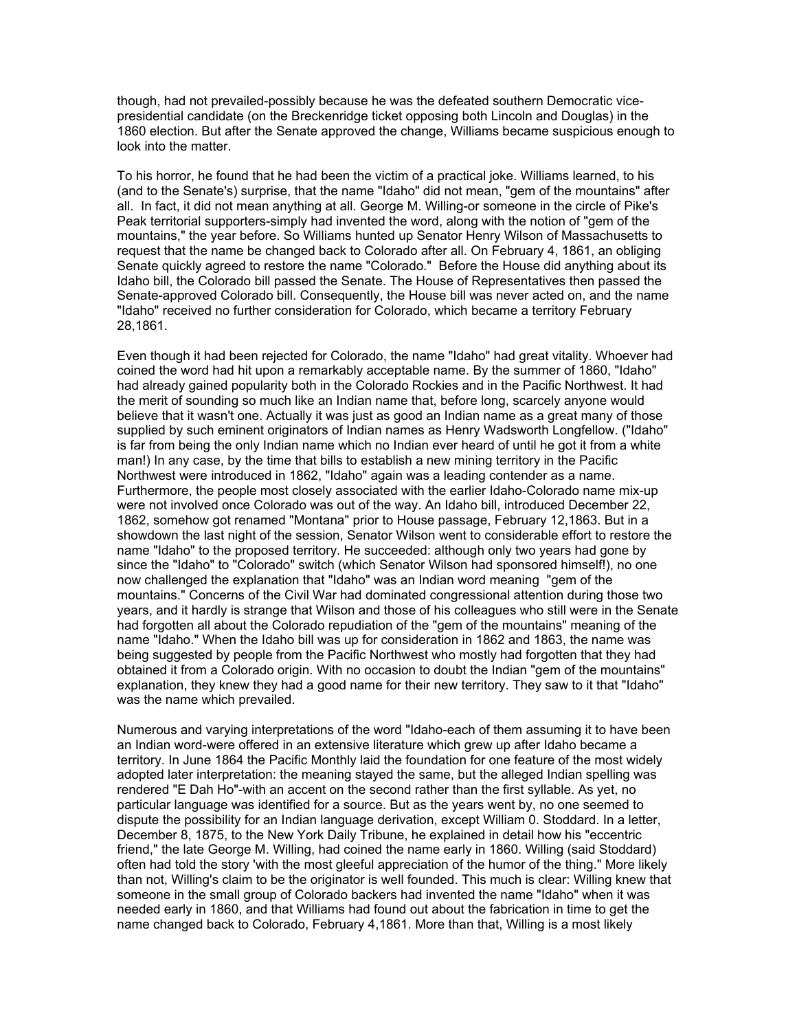though, had not prevailed-possibly because he was the defeated southern Democratic vicepresidential candidate (on the Breckenridge ticket opposing both Lincoln and Douglas) in the 1860 election. But after the Senate approved the change, Williams became suspicious enough to look into the matter.

To his horror, he found that he had been the victim of a practical joke. Williams learned, to his (and to the Senate's) surprise, that the name "Idaho" did not mean, "gem of the mountains" after all. In fact, it did not mean anything at all. George M. Willing-or someone in the circle of Pike's Peak territorial supporters-simply had invented the word, along with the notion of "gem of the mountains," the year before. So Williams hunted up Senator Henry Wilson of Massachusetts to request that the name be changed back to Colorado after all. On February 4, 1861, an obliging Senate quickly agreed to restore the name "Colorado." Before the House did anything about its Idaho bill, the Colorado bill passed the Senate. The House of Representatives then passed the Senate-approved Colorado bill. Consequently, the House bill was never acted on, and the name "Idaho" received no further consideration for Colorado, which became a territory February 28,1861.

Even though it had been rejected for Colorado, the name "Idaho" had great vitality. Whoever had coined the word had hit upon a remarkably acceptable name. By the summer of 1860, "Idaho" had already gained popularity both in the Colorado Rockies and in the Pacific Northwest. It had the merit of sounding so much like an Indian name that, before long, scarcely anyone would believe that it wasn't one. Actually it was just as good an Indian name as a great many of those supplied by such eminent originators of Indian names as Henry Wadsworth Longfellow. ("Idaho" is far from being the only Indian name which no Indian ever heard of until he got it from a white man!) In any case, by the time that bills to establish a new mining territory in the Pacific Northwest were introduced in 1862, "Idaho" again was a leading contender as a name. Furthermore, the people most closely associated with the earlier Idaho-Colorado name mix-up were not involved once Colorado was out of the way. An Idaho bill, introduced December 22, 1862, somehow got renamed "Montana" prior to House passage, February 12,1863. But in a showdown the last night of the session, Senator Wilson went to considerable effort to restore the name "Idaho" to the proposed territory. He succeeded: although only two years had gone by since the "Idaho" to "Colorado" switch (which Senator Wilson had sponsored himself!), no one now challenged the explanation that "Idaho" was an Indian word meaning "gem of the mountains." Concerns of the Civil War had dominated congressional attention during those two years, and it hardly is strange that Wilson and those of his colleagues who still were in the Senate had forgotten all about the Colorado repudiation of the "gem of the mountains" meaning of the name "Idaho." When the Idaho bill was up for consideration in 1862 and 1863, the name was being suggested by people from the Pacific Northwest who mostly had forgotten that they had obtained it from a Colorado origin. With no occasion to doubt the Indian "gem of the mountains" explanation, they knew they had a good name for their new territory. They saw to it that "Idaho" was the name which prevailed.

Numerous and varying interpretations of the word "Idaho-each of them assuming it to have been an Indian word-were offered in an extensive literature which grew up after Idaho became a territory. In June 1864 the Pacific Monthly laid the foundation for one feature of the most widely adopted later interpretation: the meaning stayed the same, but the alleged Indian spelling was rendered "E Dah Ho"-with an accent on the second rather than the first syllable. As yet, no particular language was identified for a source. But as the years went by, no one seemed to dispute the possibility for an Indian language derivation, except William 0. Stoddard. In a letter, December 8, 1875, to the New York Daily Tribune, he explained in detail how his "eccentric friend," the late George M. Willing, had coined the name early in 1860. Willing (said Stoddard) often had told the story 'with the most gleeful appreciation of the humor of the thing." More likely than not, Willing's claim to be the originator is well founded. This much is clear: Willing knew that someone in the small group of Colorado backers had invented the name "Idaho" when it was needed early in 1860, and that Williams had found out about the fabrication in time to get the name changed back to Colorado, February 4,1861. More than that, Willing is a most likely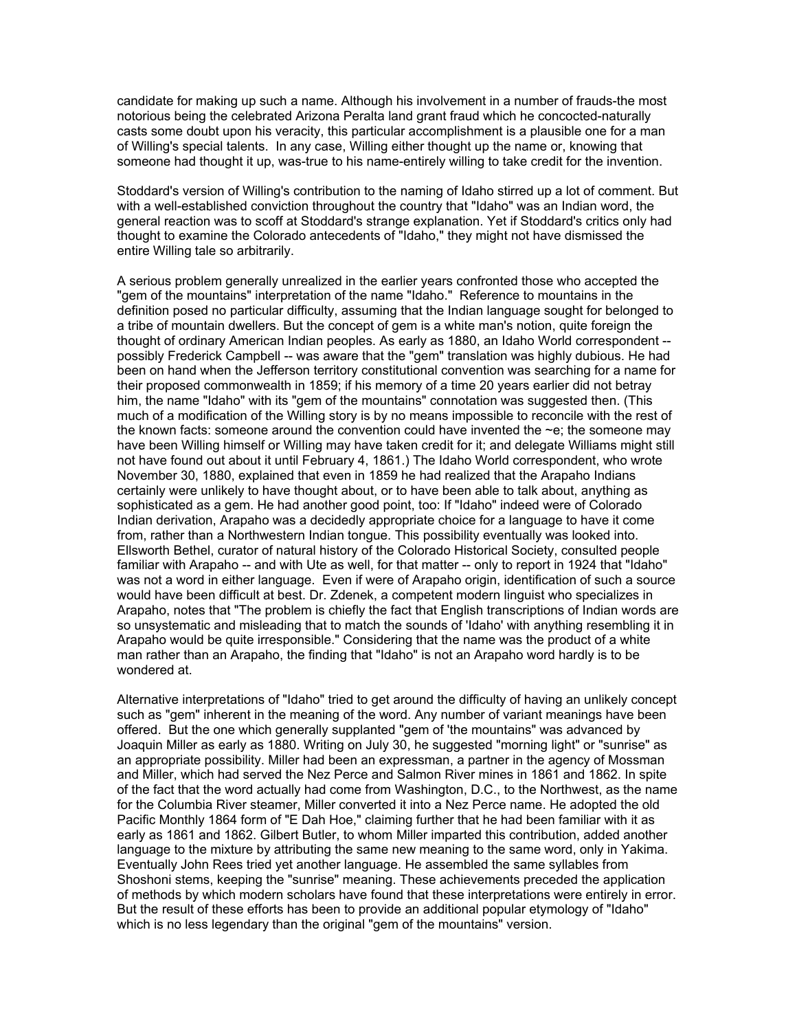candidate for making up such a name. Although his involvement in a number of frauds-the most notorious being the celebrated Arizona Peralta land grant fraud which he concocted-naturally casts some doubt upon his veracity, this particular accomplishment is a plausible one for a man of Willing's special talents. In any case, Willing either thought up the name or, knowing that someone had thought it up, was-true to his name-entirely willing to take credit for the invention.

Stoddard's version of Willing's contribution to the naming of Idaho stirred up a lot of comment. But with a well-established conviction throughout the country that "Idaho" was an Indian word, the general reaction was to scoff at Stoddard's strange explanation. Yet if Stoddard's critics only had thought to examine the Colorado antecedents of "Idaho," they might not have dismissed the entire Willing tale so arbitrarily.

A serious problem generally unrealized in the earlier years confronted those who accepted the "gem of the mountains" interpretation of the name "Idaho." Reference to mountains in the definition posed no particular difficulty, assuming that the Indian language sought for belonged to a tribe of mountain dwellers. But the concept of gem is a white man's notion, quite foreign the thought of ordinary American Indian peoples. As early as 1880, an Idaho World correspondent - possibly Frederick Campbell -- was aware that the "gem" translation was highly dubious. He had been on hand when the Jefferson territory constitutional convention was searching for a name for their proposed commonwealth in 1859; if his memory of a time 20 years earlier did not betray him, the name "Idaho" with its "gem of the mountains" connotation was suggested then. (This much of a modification of the Willing story is by no means impossible to reconcile with the rest of the known facts: someone around the convention could have invented the  $\sim$ e; the someone may have been Willing himself or WilIing may have taken credit for it; and delegate Williams might still not have found out about it until February 4, 1861.) The Idaho World correspondent, who wrote November 30, 1880, explained that even in 1859 he had realized that the Arapaho Indians certainly were unlikely to have thought about, or to have been able to talk about, anything as sophisticated as a gem. He had another good point, too: If "Idaho" indeed were of Colorado Indian derivation, Arapaho was a decidedly appropriate choice for a language to have it come from, rather than a Northwestern Indian tongue. This possibility eventually was looked into. Ellsworth Bethel, curator of natural history of the Colorado Historical Society, consulted people familiar with Arapaho -- and with Ute as well, for that matter -- only to report in 1924 that "Idaho" was not a word in either language. Even if were of Arapaho origin, identification of such a source would have been difficult at best. Dr. Zdenek, a competent modern linguist who specializes in Arapaho, notes that "The problem is chiefly the fact that English transcriptions of Indian words are so unsystematic and misleading that to match the sounds of 'Idaho' with anything resembling it in Arapaho would be quite irresponsible." Considering that the name was the product of a white man rather than an Arapaho, the finding that "Idaho" is not an Arapaho word hardly is to be wondered at.

Alternative interpretations of "Idaho" tried to get around the difficulty of having an unlikely concept such as "gem" inherent in the meaning of the word. Any number of variant meanings have been offered. But the one which generally supplanted "gem of 'the mountains" was advanced by Joaquin Miller as early as 1880. Writing on July 30, he suggested "morning light" or "sunrise" as an appropriate possibility. Miller had been an expressman, a partner in the agency of Mossman and Miller, which had served the Nez Perce and Salmon River mines in 1861 and 1862. In spite of the fact that the word actually had come from Washington, D.C., to the Northwest, as the name for the Columbia River steamer, Miller converted it into a Nez Perce name. He adopted the old Pacific Monthly 1864 form of "E Dah Hoe," claiming further that he had been familiar with it as early as 1861 and 1862. Gilbert Butler, to whom Miller imparted this contribution, added another language to the mixture by attributing the same new meaning to the same word, only in Yakima. Eventually John Rees tried yet another language. He assembled the same syllables from Shoshoni stems, keeping the "sunrise" meaning. These achievements preceded the application of methods by which modern scholars have found that these interpretations were entirely in error. But the result of these efforts has been to provide an additional popular etymology of "Idaho" which is no less legendary than the original "gem of the mountains" version.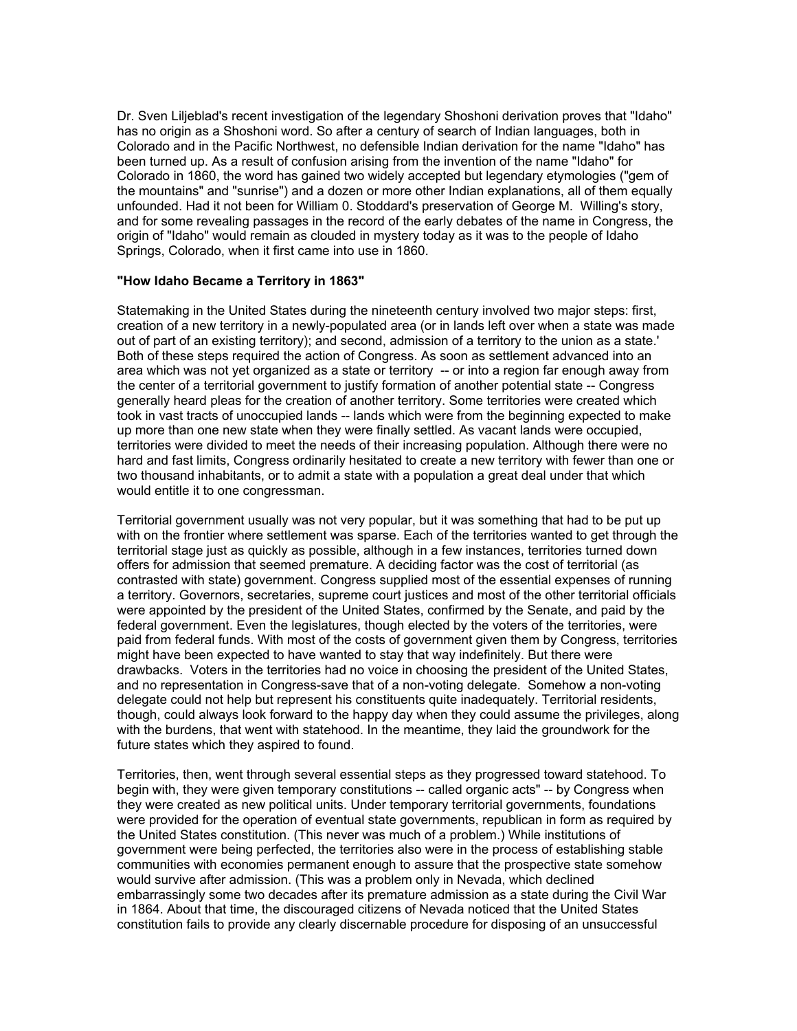Dr. Sven Liljeblad's recent investigation of the legendary Shoshoni derivation proves that "Idaho" has no origin as a Shoshoni word. So after a century of search of Indian languages, both in Colorado and in the Pacific Northwest, no defensible Indian derivation for the name "Idaho" has been turned up. As a result of confusion arising from the invention of the name "Idaho" for Colorado in 1860, the word has gained two widely accepted but legendary etymologies ("gem of the mountains" and "sunrise") and a dozen or more other Indian explanations, all of them equally unfounded. Had it not been for William 0. Stoddard's preservation of George M. Willing's story, and for some revealing passages in the record of the early debates of the name in Congress, the origin of "Idaho" would remain as clouded in mystery today as it was to the people of Idaho Springs, Colorado, when it first came into use in 1860.

## **"How Idaho Became a Territory in 1863"**

Statemaking in the United States during the nineteenth century involved two major steps: first, creation of a new territory in a newly-populated area (or in lands left over when a state was made out of part of an existing territory); and second, admission of a territory to the union as a state.' Both of these steps required the action of Congress. As soon as settlement advanced into an area which was not yet organized as a state or territory -- or into a region far enough away from the center of a territorial government to justify formation of another potential state -- Congress generally heard pleas for the creation of another territory. Some territories were created which took in vast tracts of unoccupied lands -- lands which were from the beginning expected to make up more than one new state when they were finally settled. As vacant lands were occupied, territories were divided to meet the needs of their increasing population. Although there were no hard and fast limits. Congress ordinarily hesitated to create a new territory with fewer than one or two thousand inhabitants, or to admit a state with a population a great deal under that which would entitle it to one congressman.

Territorial government usually was not very popular, but it was something that had to be put up with on the frontier where settlement was sparse. Each of the territories wanted to get through the territorial stage just as quickly as possible, although in a few instances, territories turned down offers for admission that seemed premature. A deciding factor was the cost of territorial (as contrasted with state) government. Congress supplied most of the essential expenses of running a territory. Governors, secretaries, supreme court justices and most of the other territorial officials were appointed by the president of the United States, confirmed by the Senate, and paid by the federal government. Even the legislatures, though elected by the voters of the territories, were paid from federal funds. With most of the costs of government given them by Congress, territories might have been expected to have wanted to stay that way indefinitely. But there were drawbacks. Voters in the territories had no voice in choosing the president of the United States, and no representation in Congress-save that of a non-voting delegate. Somehow a non-voting delegate could not help but represent his constituents quite inadequately. Territorial residents, though, could always look forward to the happy day when they could assume the privileges, along with the burdens, that went with statehood. In the meantime, they laid the groundwork for the future states which they aspired to found.

Territories, then, went through several essential steps as they progressed toward statehood. To begin with, they were given temporary constitutions -- called organic acts" -- by Congress when they were created as new political units. Under temporary territorial governments, foundations were provided for the operation of eventual state governments, republican in form as required by the United States constitution. (This never was much of a problem.) While institutions of government were being perfected, the territories also were in the process of establishing stable communities with economies permanent enough to assure that the prospective state somehow would survive after admission. (This was a problem only in Nevada, which declined embarrassingly some two decades after its premature admission as a state during the Civil War in 1864. About that time, the discouraged citizens of Nevada noticed that the United States constitution fails to provide any clearly discernable procedure for disposing of an unsuccessful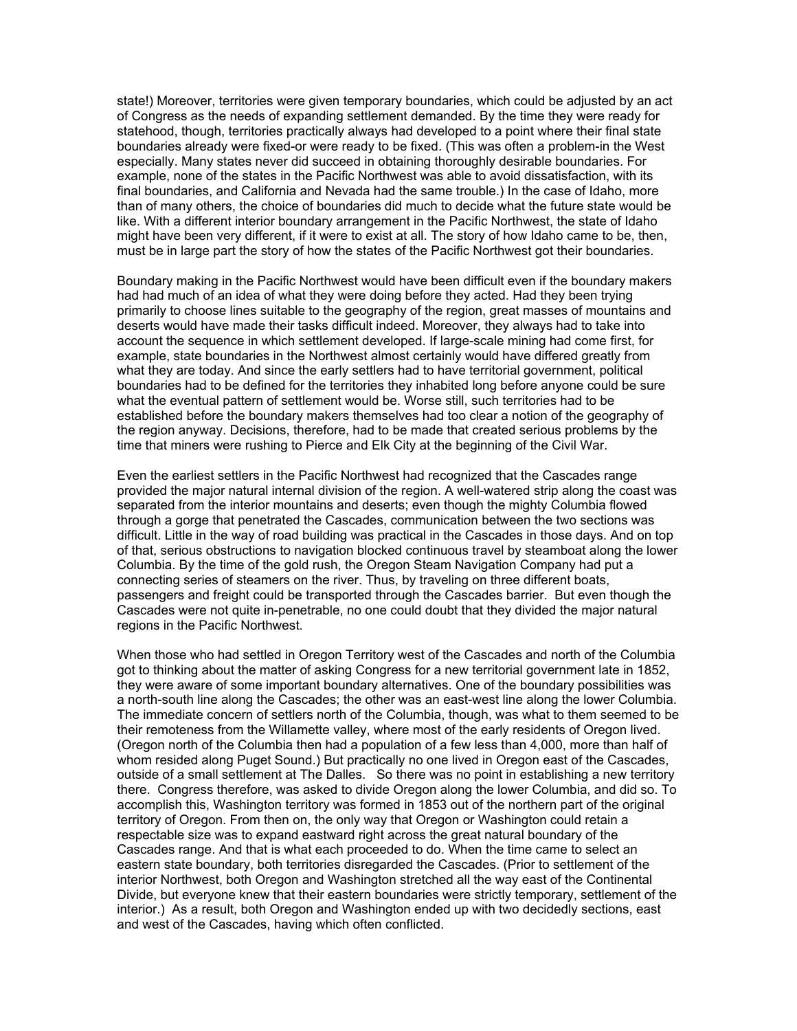state!) Moreover, territories were given temporary boundaries, which could be adjusted by an act of Congress as the needs of expanding settlement demanded. By the time they were ready for statehood, though, territories practically always had developed to a point where their final state boundaries already were fixed-or were ready to be fixed. (This was often a problem-in the West especially. Many states never did succeed in obtaining thoroughly desirable boundaries. For example, none of the states in the Pacific Northwest was able to avoid dissatisfaction, with its final boundaries, and California and Nevada had the same trouble.) In the case of Idaho, more than of many others, the choice of boundaries did much to decide what the future state would be like. With a different interior boundary arrangement in the Pacific Northwest, the state of Idaho might have been very different, if it were to exist at all. The story of how Idaho came to be, then, must be in large part the story of how the states of the Pacific Northwest got their boundaries.

Boundary making in the Pacific Northwest would have been difficult even if the boundary makers had had much of an idea of what they were doing before they acted. Had they been trying primarily to choose lines suitable to the geography of the region, great masses of mountains and deserts would have made their tasks difficult indeed. Moreover, they always had to take into account the sequence in which settlement developed. If large-scale mining had come first, for example, state boundaries in the Northwest almost certainly would have differed greatly from what they are today. And since the early settlers had to have territorial government, political boundaries had to be defined for the territories they inhabited long before anyone could be sure what the eventual pattern of settlement would be. Worse still, such territories had to be established before the boundary makers themselves had too clear a notion of the geography of the region anyway. Decisions, therefore, had to be made that created serious problems by the time that miners were rushing to Pierce and Elk City at the beginning of the Civil War.

Even the earliest settlers in the Pacific Northwest had recognized that the Cascades range provided the major natural internal division of the region. A well-watered strip along the coast was separated from the interior mountains and deserts; even though the mighty Columbia flowed through a gorge that penetrated the Cascades, communication between the two sections was difficult. Little in the way of road building was practical in the Cascades in those days. And on top of that, serious obstructions to navigation blocked continuous travel by steamboat along the lower Columbia. By the time of the gold rush, the Oregon Steam Navigation Company had put a connecting series of steamers on the river. Thus, by traveling on three different boats, passengers and freight could be transported through the Cascades barrier. But even though the Cascades were not quite in-penetrable, no one could doubt that they divided the major natural regions in the Pacific Northwest.

When those who had settled in Oregon Territory west of the Cascades and north of the Columbia got to thinking about the matter of asking Congress for a new territorial government late in 1852, they were aware of some important boundary alternatives. One of the boundary possibilities was a north-south line along the Cascades; the other was an east-west line along the lower Columbia. The immediate concern of settlers north of the Columbia, though, was what to them seemed to be their remoteness from the Willamette valley, where most of the early residents of Oregon lived. (Oregon north of the Columbia then had a population of a few less than 4,000, more than half of whom resided along Puget Sound.) But practically no one lived in Oregon east of the Cascades, outside of a small settlement at The Dalles. So there was no point in establishing a new territory there. Congress therefore, was asked to divide Oregon along the lower Columbia, and did so. To accomplish this, Washington territory was formed in 1853 out of the northern part of the original territory of Oregon. From then on, the only way that Oregon or Washington could retain a respectable size was to expand eastward right across the great natural boundary of the Cascades range. And that is what each proceeded to do. When the time came to select an eastern state boundary, both territories disregarded the Cascades. (Prior to settlement of the interior Northwest, both Oregon and Washington stretched all the way east of the Continental Divide, but everyone knew that their eastern boundaries were strictly temporary, settlement of the interior.) As a result, both Oregon and Washington ended up with two decidedly sections, east and west of the Cascades, having which often conflicted.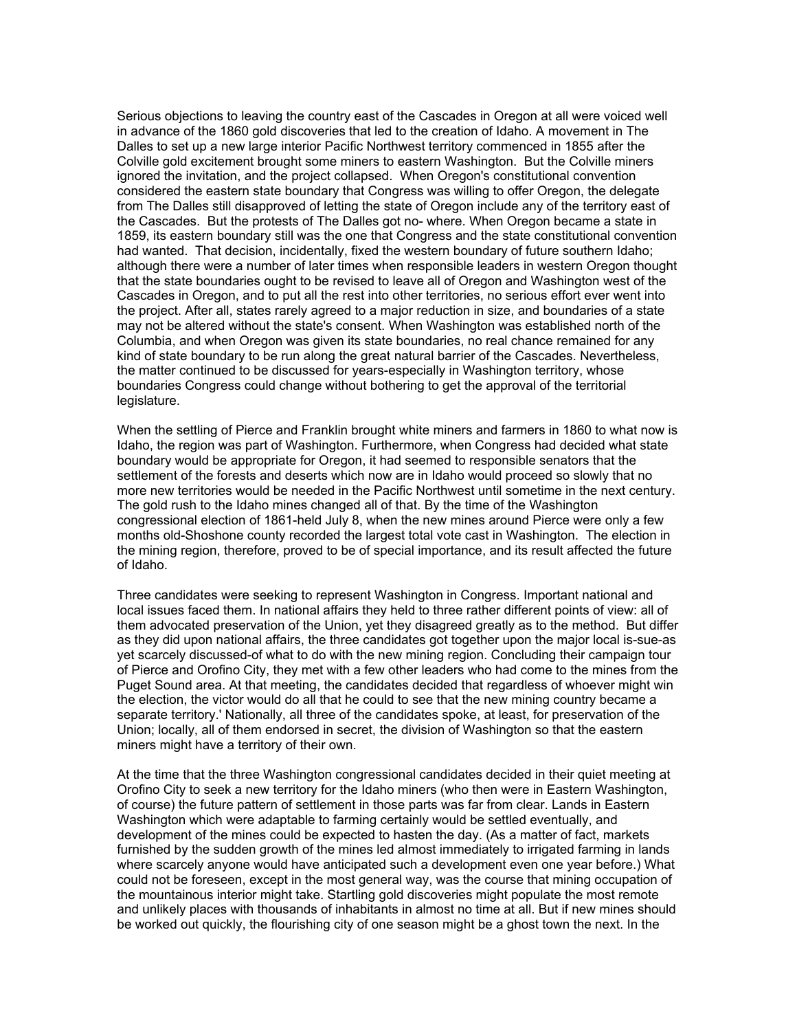Serious objections to leaving the country east of the Cascades in Oregon at all were voiced well in advance of the 1860 gold discoveries that led to the creation of Idaho. A movement in The Dalles to set up a new large interior Pacific Northwest territory commenced in 1855 after the Colville gold excitement brought some miners to eastern Washington. But the Colville miners ignored the invitation, and the project collapsed. When Oregon's constitutional convention considered the eastern state boundary that Congress was willing to offer Oregon, the delegate from The Dalles still disapproved of letting the state of Oregon include any of the territory east of the Cascades. But the protests of The Dalles got no- where. When Oregon became a state in 1859, its eastern boundary still was the one that Congress and the state constitutional convention had wanted. That decision, incidentally, fixed the western boundary of future southern Idaho; although there were a number of later times when responsible leaders in western Oregon thought that the state boundaries ought to be revised to leave all of Oregon and Washington west of the Cascades in Oregon, and to put all the rest into other territories, no serious effort ever went into the project. After all, states rarely agreed to a major reduction in size, and boundaries of a state may not be altered without the state's consent. When Washington was established north of the Columbia, and when Oregon was given its state boundaries, no real chance remained for any kind of state boundary to be run along the great natural barrier of the Cascades. Nevertheless, the matter continued to be discussed for years-especially in Washington territory, whose boundaries Congress could change without bothering to get the approval of the territorial legislature.

When the settling of Pierce and Franklin brought white miners and farmers in 1860 to what now is Idaho, the region was part of Washington. Furthermore, when Congress had decided what state boundary would be appropriate for Oregon, it had seemed to responsible senators that the settlement of the forests and deserts which now are in Idaho would proceed so slowly that no more new territories would be needed in the Pacific Northwest until sometime in the next century. The gold rush to the Idaho mines changed all of that. By the time of the Washington congressional election of 1861-held July 8, when the new mines around Pierce were only a few months old-Shoshone county recorded the largest total vote cast in Washington. The election in the mining region, therefore, proved to be of special importance, and its result affected the future of Idaho.

Three candidates were seeking to represent Washington in Congress. Important national and local issues faced them. In national affairs they held to three rather different points of view: all of them advocated preservation of the Union, yet they disagreed greatly as to the method. But differ as they did upon national affairs, the three candidates got together upon the major local is-sue-as yet scarcely discussed-of what to do with the new mining region. Concluding their campaign tour of Pierce and Orofino City, they met with a few other leaders who had come to the mines from the Puget Sound area. At that meeting, the candidates decided that regardless of whoever might win the election, the victor would do all that he could to see that the new mining country became a separate territory.' Nationally, all three of the candidates spoke, at least, for preservation of the Union; locally, all of them endorsed in secret, the division of Washington so that the eastern miners might have a territory of their own.

At the time that the three Washington congressional candidates decided in their quiet meeting at Orofino City to seek a new territory for the Idaho miners (who then were in Eastern Washington, of course) the future pattern of settlement in those parts was far from clear. Lands in Eastern Washington which were adaptable to farming certainly would be settled eventually, and development of the mines could be expected to hasten the day. (As a matter of fact, markets furnished by the sudden growth of the mines led almost immediately to irrigated farming in lands where scarcely anyone would have anticipated such a development even one year before.) What could not be foreseen, except in the most general way, was the course that mining occupation of the mountainous interior might take. Startling gold discoveries might populate the most remote and unlikely places with thousands of inhabitants in almost no time at all. But if new mines should be worked out quickly, the flourishing city of one season might be a ghost town the next. In the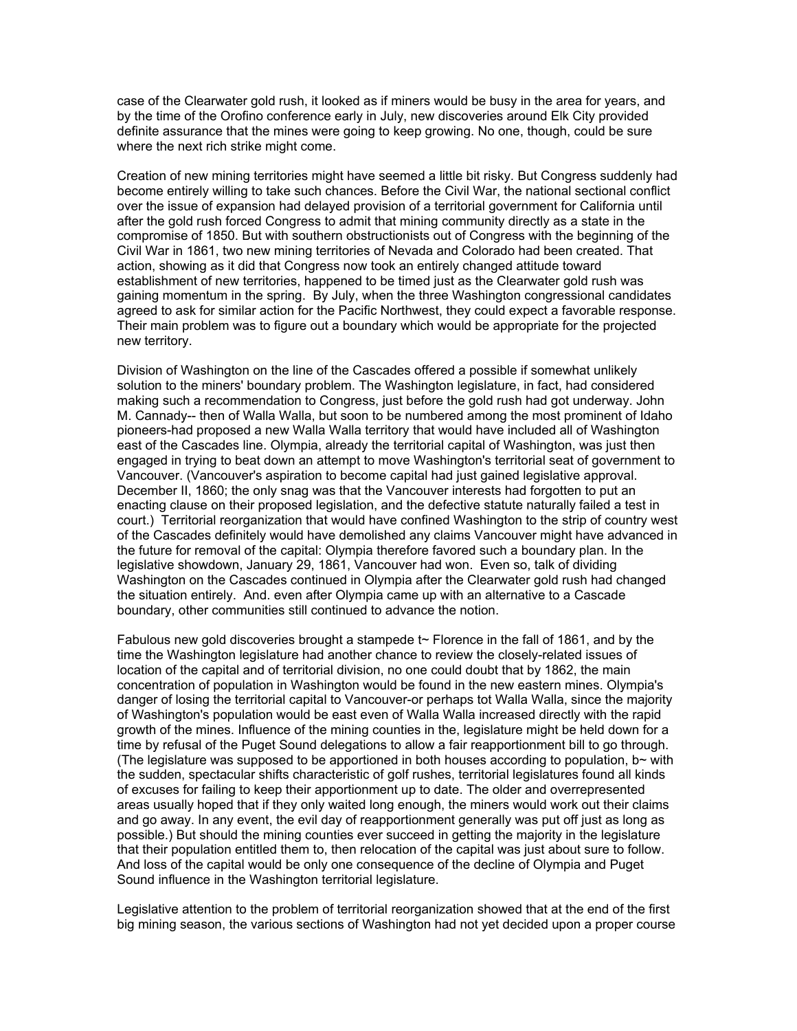case of the Clearwater gold rush, it looked as if miners would be busy in the area for years, and by the time of the Orofino conference early in July, new discoveries around Elk City provided definite assurance that the mines were going to keep growing. No one, though, could be sure where the next rich strike might come.

Creation of new mining territories might have seemed a little bit risky. But Congress suddenly had become entirely willing to take such chances. Before the Civil War, the national sectional conflict over the issue of expansion had delayed provision of a territorial government for California until after the gold rush forced Congress to admit that mining community directly as a state in the compromise of 1850. But with southern obstructionists out of Congress with the beginning of the Civil War in 1861, two new mining territories of Nevada and Colorado had been created. That action, showing as it did that Congress now took an entirely changed attitude toward establishment of new territories, happened to be timed just as the Clearwater gold rush was gaining momentum in the spring. By July, when the three Washington congressional candidates agreed to ask for similar action for the Pacific Northwest, they could expect a favorable response. Their main problem was to figure out a boundary which would be appropriate for the projected new territory.

Division of Washington on the line of the Cascades offered a possible if somewhat unlikely solution to the miners' boundary problem. The Washington legislature, in fact, had considered making such a recommendation to Congress, just before the gold rush had got underway. John M. Cannady-- then of Walla Walla, but soon to be numbered among the most prominent of Idaho pioneers-had proposed a new Walla Walla territory that would have included all of Washington east of the Cascades line. Olympia, already the territorial capital of Washington, was just then engaged in trying to beat down an attempt to move Washington's territorial seat of government to Vancouver. (Vancouver's aspiration to become capital had just gained legislative approval. December II, 1860; the only snag was that the Vancouver interests had forgotten to put an enacting clause on their proposed legislation, and the defective statute naturally failed a test in court.) Territorial reorganization that would have confined Washington to the strip of country west of the Cascades definitely would have demolished any claims Vancouver might have advanced in the future for removal of the capital: Olympia therefore favored such a boundary plan. In the legislative showdown, January 29, 1861, Vancouver had won. Even so, talk of dividing Washington on the Cascades continued in Olympia after the Clearwater gold rush had changed the situation entirely. And. even after Olympia came up with an alternative to a Cascade boundary, other communities still continued to advance the notion.

Fabulous new gold discoveries brought a stampede  $t<sub>o</sub>$  Florence in the fall of 1861, and by the time the Washington legislature had another chance to review the closely-related issues of location of the capital and of territorial division, no one could doubt that by 1862, the main concentration of population in Washington would be found in the new eastern mines. Olympia's danger of losing the territorial capital to Vancouver-or perhaps tot Walla Walla, since the majority of Washington's population would be east even of Walla Walla increased directly with the rapid growth of the mines. Influence of the mining counties in the, legislature might be held down for a time by refusal of the Puget Sound delegations to allow a fair reapportionment bill to go through. (The legislature was supposed to be apportioned in both houses according to population,  $b\sim$  with the sudden, spectacular shifts characteristic of golf rushes, territorial legislatures found all kinds of excuses for failing to keep their apportionment up to date. The older and overrepresented areas usually hoped that if they only waited long enough, the miners would work out their claims and go away. In any event, the evil day of reapportionment generally was put off just as long as possible.) But should the mining counties ever succeed in getting the majority in the legislature that their population entitled them to, then relocation of the capital was just about sure to follow. And loss of the capital would be only one consequence of the decline of Olympia and Puget Sound influence in the Washington territorial legislature.

Legislative attention to the problem of territorial reorganization showed that at the end of the first big mining season, the various sections of Washington had not yet decided upon a proper course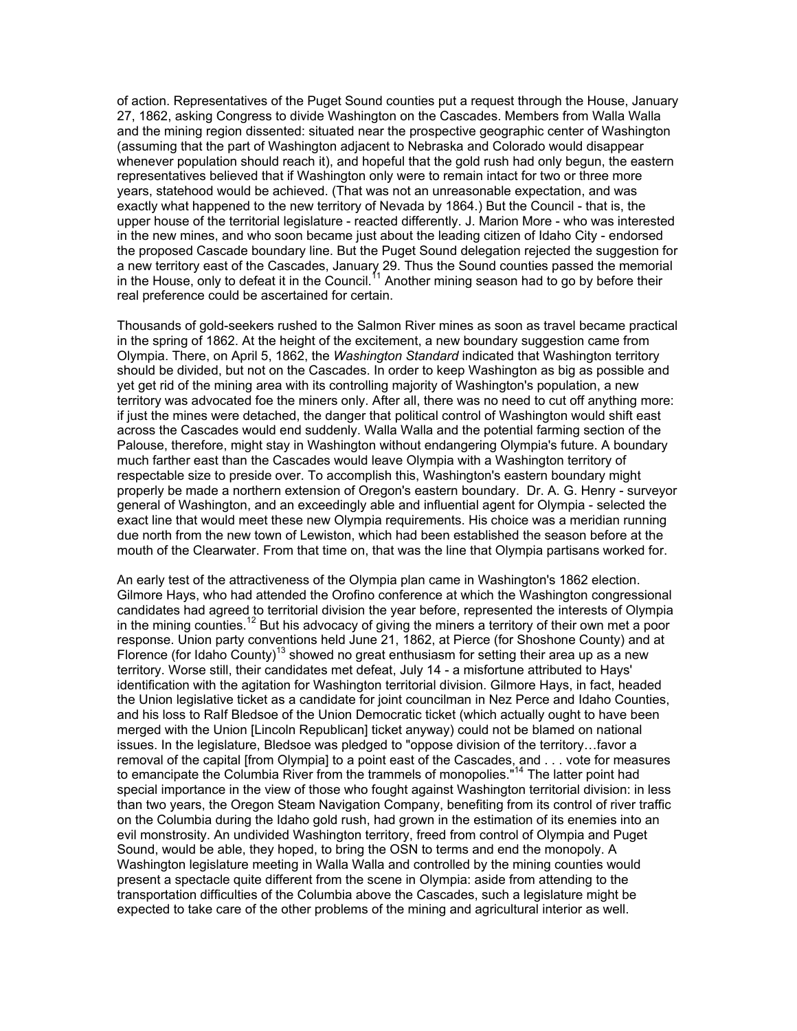of action. Representatives of the Puget Sound counties put a request through the House, January 27, 1862, asking Congress to divide Washington on the Cascades. Members from Walla Walla and the mining region dissented: situated near the prospective geographic center of Washington (assuming that the part of Washington adjacent to Nebraska and Colorado would disappear whenever population should reach it), and hopeful that the gold rush had only begun, the eastern representatives believed that if Washington only were to remain intact for two or three more years, statehood would be achieved. (That was not an unreasonable expectation, and was exactly what happened to the new territory of Nevada by 1864.) But the Council - that is, the upper house of the territorial legislature - reacted differently. J. Marion More - who was interested in the new mines, and who soon became just about the leading citizen of Idaho City - endorsed the proposed Cascade boundary line. But the Puget Sound delegation rejected the suggestion for a new territory east of the Cascades, January 29. Thus the Sound counties passed the memorial in the House, only to defeat it in the Council.<sup>11</sup> Another mining season had to go by before their real preference could be ascertained for certain.

Thousands of gold-seekers rushed to the Salmon River mines as soon as travel became practical in the spring of 1862. At the height of the excitement, a new boundary suggestion came from Olympia. There, on April 5, 1862, the *Washington Standard* indicated that Washington territory should be divided, but not on the Cascades. In order to keep Washington as big as possible and yet get rid of the mining area with its controlling majority of Washington's population, a new territory was advocated foe the miners only. After all, there was no need to cut off anything more: if just the mines were detached, the danger that political control of Washington would shift east across the Cascades would end suddenly. Walla Walla and the potential farming section of the Palouse, therefore, might stay in Washington without endangering Olympia's future. A boundary much farther east than the Cascades would leave Olympia with a Washington territory of respectable size to preside over. To accomplish this, Washington's eastern boundary might properly be made a northern extension of Oregon's eastern boundary. Dr. A. G. Henry - surveyor general of Washington, and an exceedingly able and influential agent for Olympia - selected the exact line that would meet these new Olympia requirements. His choice was a meridian running due north from the new town of Lewiston, which had been established the season before at the mouth of the Clearwater. From that time on, that was the line that Olympia partisans worked for.

An early test of the attractiveness of the Olympia plan came in Washington's 1862 election. Gilmore Hays, who had attended the Orofino conference at which the Washington congressional candidates had agreed to territorial division the year before, represented the interests of Olympia in the mining counties.12 But his advocacy of giving the miners a territory of their own met a poor response. Union party conventions held June 21, 1862, at Pierce (for Shoshone County) and at Florence (for Idaho County)<sup>13</sup> showed no great enthusiasm for setting their area up as a new territory. Worse still, their candidates met defeat, July 14 - a misfortune attributed to Hays' identification with the agitation for Washington territorial division. Gilmore Hays, in fact, headed the Union legislative ticket as a candidate for joint councilman in Nez Perce and Idaho Counties, and his loss to RaIf Bledsoe of the Union Democratic ticket (which actually ought to have been merged with the Union [Lincoln Republican] ticket anyway) could not be blamed on national issues. In the legislature, Bledsoe was pledged to "oppose division of the territory…favor a removal of the capital [from Olympia] to a point east of the Cascades, and . . . vote for measures to emancipate the Columbia River from the trammels of monopolies."<sup>14</sup> The latter point had special importance in the view of those who fought against Washington territorial division: in less than two years, the Oregon Steam Navigation Company, benefiting from its control of river traffic on the Columbia during the Idaho gold rush, had grown in the estimation of its enemies into an evil monstrosity. An undivided Washington territory, freed from control of Olympia and Puget Sound, would be able, they hoped, to bring the OSN to terms and end the monopoly. A Washington legislature meeting in Walla Walla and controlled by the mining counties would present a spectacle quite different from the scene in Olympia: aside from attending to the transportation difficulties of the Columbia above the Cascades, such a legislature might be expected to take care of the other problems of the mining and agricultural interior as well.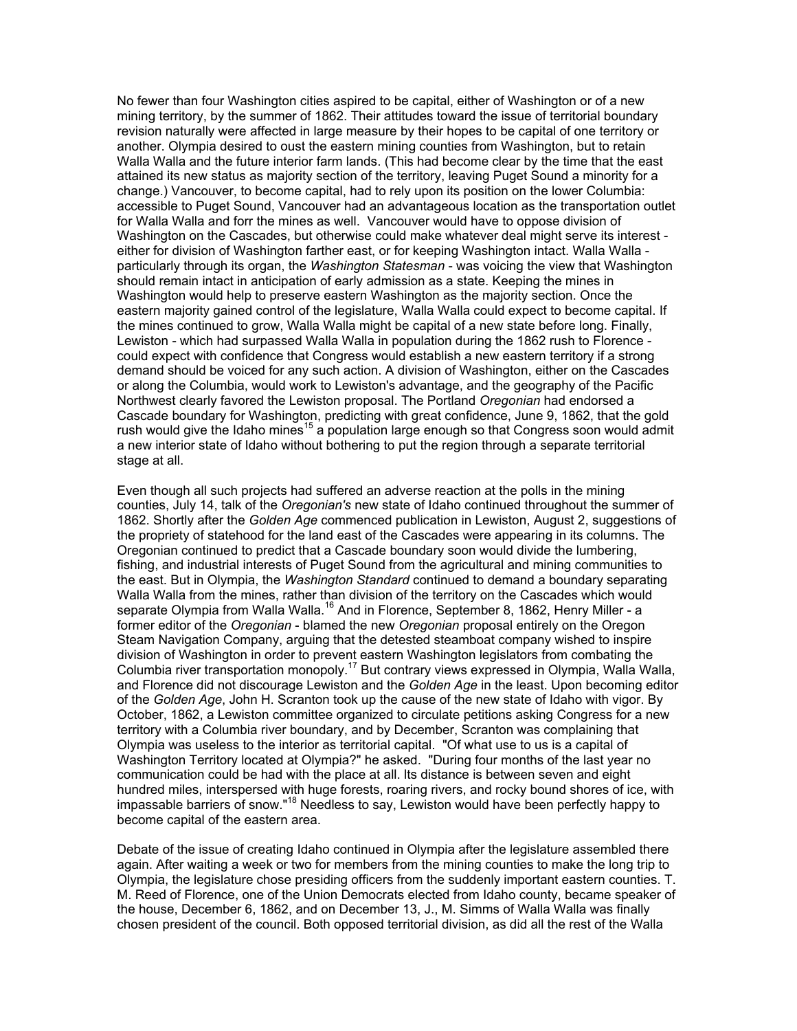No fewer than four Washington cities aspired to be capital, either of Washington or of a new mining territory, by the summer of 1862. Their attitudes toward the issue of territorial boundary revision naturally were affected in large measure by their hopes to be capital of one territory or another. Olympia desired to oust the eastern mining counties from Washington, but to retain Walla Walla and the future interior farm lands. (This had become clear by the time that the east attained its new status as majority section of the territory, leaving Puget Sound a minority for a change.) Vancouver, to become capital, had to rely upon its position on the lower Columbia: accessible to Puget Sound, Vancouver had an advantageous location as the transportation outlet for Walla Walla and forr the mines as well. Vancouver would have to oppose division of Washington on the Cascades, but otherwise could make whatever deal might serve its interest either for division of Washington farther east, or for keeping Washington intact. Walla Walla particularly through its organ, the *Washington Statesman* - was voicing the view that Washington should remain intact in anticipation of early admission as a state. Keeping the mines in Washington would help to preserve eastern Washington as the majority section. Once the eastern majority gained control of the legislature, Walla Walla could expect to become capital. If the mines continued to grow, Walla Walla might be capital of a new state before long. Finally, Lewiston - which had surpassed Walla Walla in population during the 1862 rush to Florence could expect with confidence that Congress would establish a new eastern territory if a strong demand should be voiced for any such action. A division of Washington, either on the Cascades or along the Columbia, would work to Lewiston's advantage, and the geography of the Pacific Northwest clearly favored the Lewiston proposal. The Portland *Oregonian* had endorsed a Cascade boundary for Washington, predicting with great confidence, June 9, 1862, that the gold rush would give the Idaho mines<sup>15</sup> a population large enough so that Congress soon would admit a new interior state of Idaho without bothering to put the region through a separate territorial stage at all.

Even though all such projects had suffered an adverse reaction at the polls in the mining counties, July 14, talk of the *Oregonian's* new state of Idaho continued throughout the summer of 1862. Shortly after the *Golden Age* commenced publication in Lewiston, August 2, suggestions of the propriety of statehood for the land east of the Cascades were appearing in its columns. The Oregonian continued to predict that a Cascade boundary soon would divide the lumbering, fishing, and industrial interests of Puget Sound from the agricultural and mining communities to the east. But in Olympia, the *Washington Standard* continued to demand a boundary separating Walla Walla from the mines, rather than division of the territory on the Cascades which would separate Olympia from Walla Walla.<sup>16</sup> And in Florence, September 8, 1862, Henry Miller - a former editor of the *Oregonian* - blamed the new *Oregonian* proposal entirely on the Oregon Steam Navigation Company, arguing that the detested steamboat company wished to inspire division of Washington in order to prevent eastern Washington legislators from combating the Columbia river transportation monopoly.<sup>17</sup> But contrary views expressed in Olympia, Walla Walla, and Florence did not discourage Lewiston and the *Golden Age* in the least. Upon becoming editor of the *Golden Age*, John H. Scranton took up the cause of the new state of Idaho with vigor. By October, 1862, a Lewiston committee organized to circulate petitions asking Congress for a new territory with a Columbia river boundary, and by December, Scranton was complaining that Olympia was useless to the interior as territorial capital. "Of what use to us is a capital of Washington Territory located at Olympia?" he asked. "During four months of the last year no communication could be had with the place at all. lts distance is between seven and eight hundred miles, interspersed with huge forests, roaring rivers, and rocky bound shores of ice, with impassable barriers of snow."18 Needless to say, Lewiston would have been perfectly happy to become capital of the eastern area.

Debate of the issue of creating Idaho continued in Olympia after the legislature assembled there again. After waiting a week or two for members from the mining counties to make the long trip to Olympia, the legislature chose presiding officers from the suddenly important eastern counties. T. M. Reed of Florence, one of the Union Democrats elected from Idaho county, became speaker of the house, December 6, 1862, and on December 13, J., M. Simms of Walla Walla was finally chosen president of the council. Both opposed territorial division, as did all the rest of the Walla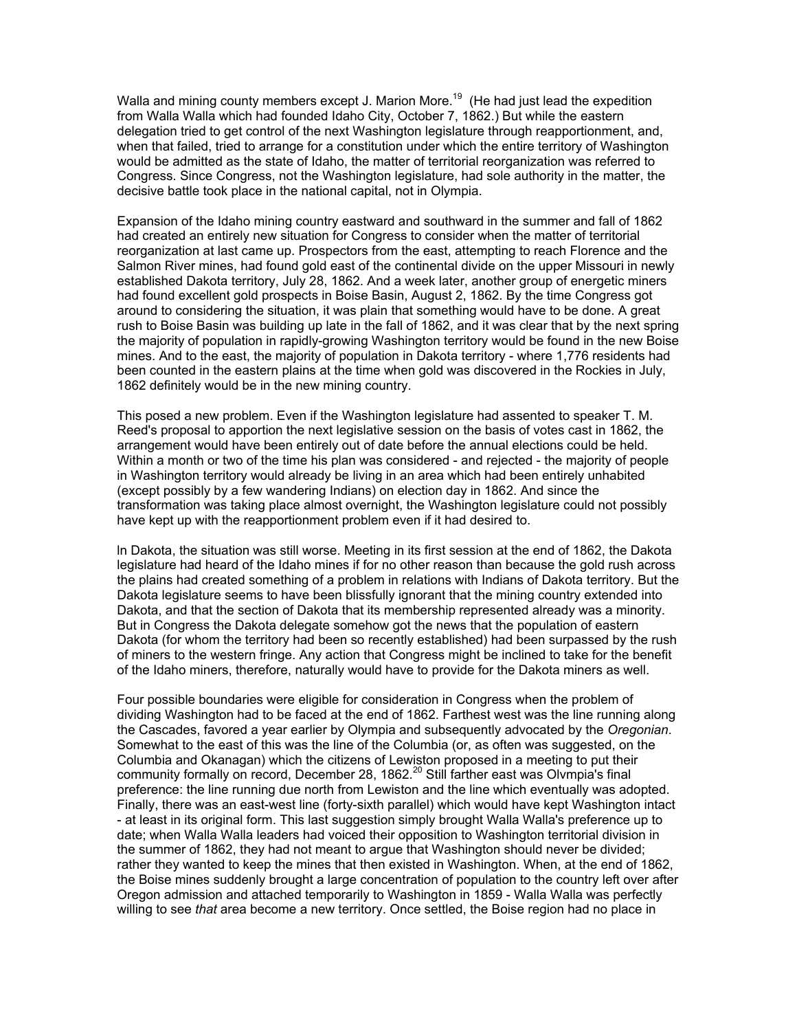Walla and mining county members except J. Marion More.<sup>19</sup> (He had just lead the expedition from Walla Walla which had founded Idaho City, October 7, 1862.) But while the eastern delegation tried to get control of the next Washington legislature through reapportionment, and, when that failed, tried to arrange for a constitution under which the entire territory of Washington would be admitted as the state of Idaho, the matter of territorial reorganization was referred to Congress. Since Congress, not the Washington legislature, had sole authority in the matter, the decisive battle took place in the national capital, not in Olympia.

Expansion of the Idaho mining country eastward and southward in the summer and fall of 1862 had created an entirely new situation for Congress to consider when the matter of territorial reorganization at last came up. Prospectors from the east, attempting to reach Florence and the Salmon River mines, had found gold east of the continental divide on the upper Missouri in newly established Dakota territory, July 28, 1862. And a week later, another group of energetic miners had found excellent gold prospects in Boise Basin, August 2, 1862. By the time Congress got around to considering the situation, it was plain that something would have to be done. A great rush to Boise Basin was building up late in the fall of 1862, and it was clear that by the next spring the majority of population in rapidly-growing Washington territory would be found in the new Boise mines. And to the east, the majority of population in Dakota territory - where 1,776 residents had been counted in the eastern plains at the time when gold was discovered in the Rockies in July, 1862 definitely would be in the new mining country.

This posed a new problem. Even if the Washington legislature had assented to speaker T. M. Reed's proposal to apportion the next legislative session on the basis of votes cast in 1862, the arrangement would have been entirely out of date before the annual elections could be held. Within a month or two of the time his plan was considered - and rejected - the majority of people in Washington territory would already be living in an area which had been entirely unhabited (except possibly by a few wandering Indians) on election day in 1862. And since the transformation was taking place almost overnight, the Washington legislature could not possibly have kept up with the reapportionment problem even if it had desired to.

ln Dakota, the situation was still worse. Meeting in its first session at the end of 1862, the Dakota legislature had heard of the Idaho mines if for no other reason than because the gold rush across the plains had created something of a problem in relations with Indians of Dakota territory. But the Dakota legislature seems to have been blissfully ignorant that the mining country extended into Dakota, and that the section of Dakota that its membership represented already was a minority. But in Congress the Dakota delegate somehow got the news that the population of eastern Dakota (for whom the territory had been so recently established) had been surpassed by the rush of miners to the western fringe. Any action that Congress might be inclined to take for the benefit of the Idaho miners, therefore, naturally would have to provide for the Dakota miners as well.

Four possible boundaries were eligible for consideration in Congress when the problem of dividing Washington had to be faced at the end of 1862. Farthest west was the line running along the Cascades, favored a year earlier by Olympia and subsequently advocated by the *Oregonian*. Somewhat to the east of this was the line of the Columbia (or, as often was suggested, on the Columbia and Okanagan) which the citizens of Lewiston proposed in a meeting to put their community formally on record, December 28, 1862. $^{20}$  Still farther east was Olympia's final preference: the line running due north from Lewiston and the line which eventually was adopted. Finally, there was an east-west line (forty-sixth parallel) which would have kept Washington intact - at least in its original form. This last suggestion simply brought Walla Walla's preference up to date; when Walla Walla leaders had voiced their opposition to Washington territorial division in the summer of 1862, they had not meant to argue that Washington should never be divided; rather they wanted to keep the mines that then existed in Washington. When, at the end of 1862, the Boise mines suddenly brought a large concentration of population to the country left over after Oregon admission and attached temporarily to Washington in 1859 - Walla Walla was perfectly willing to see *that* area become a new territory. Once settled, the Boise region had no place in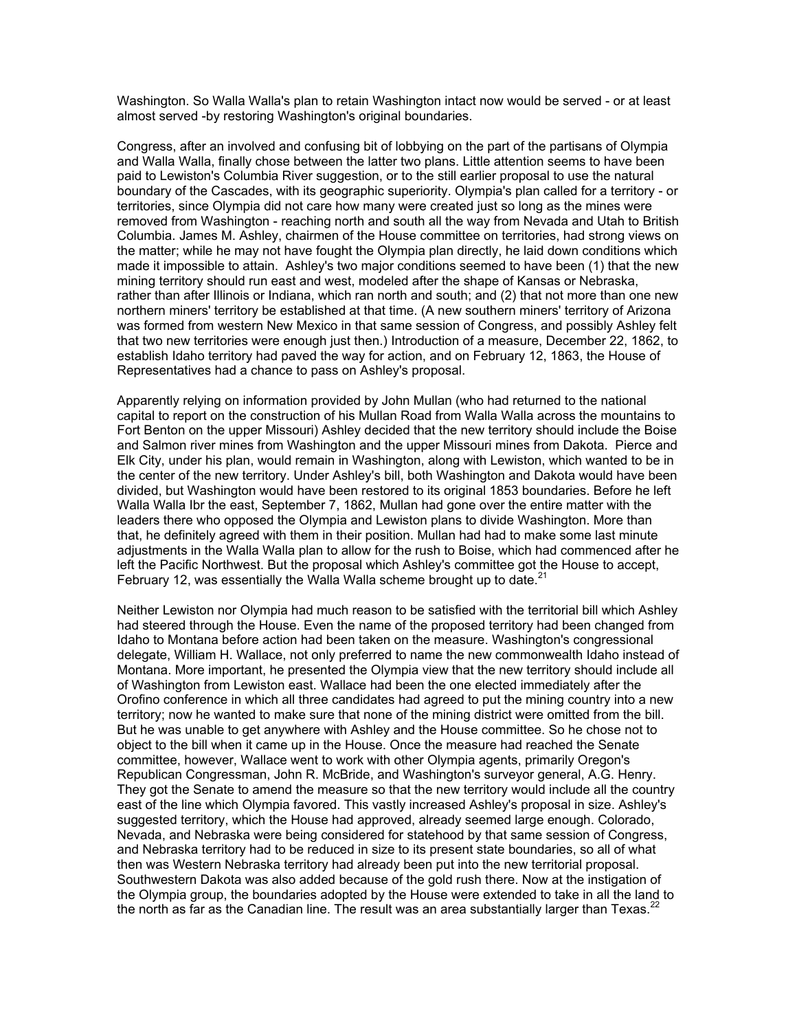Washington. So Walla Walla's plan to retain Washington intact now would be served - or at least almost served -by restoring Washington's original boundaries.

Congress, after an involved and confusing bit of lobbying on the part of the partisans of Olympia and Walla Walla, finally chose between the latter two plans. Little attention seems to have been paid to Lewiston's Columbia River suggestion, or to the still earlier proposal to use the natural boundary of the Cascades, with its geographic superiority. Olympia's plan called for a territory - or territories, since Olympia did not care how many were created just so long as the mines were removed from Washington - reaching north and south all the way from Nevada and Utah to British Columbia. James M. Ashley, chairmen of the House committee on territories, had strong views on the matter; while he may not have fought the Olympia plan directly, he laid down conditions which made it impossible to attain. Ashley's two major conditions seemed to have been (1) that the new mining territory should run east and west, modeled after the shape of Kansas or Nebraska, rather than after Illinois or Indiana, which ran north and south; and (2) that not more than one new northern miners' territory be established at that time. (A new southern miners' territory of Arizona was formed from western New Mexico in that same session of Congress, and possibly Ashley felt that two new territories were enough just then.) Introduction of a measure, December 22, 1862, to establish Idaho territory had paved the way for action, and on February 12, 1863, the House of Representatives had a chance to pass on Ashley's proposal.

Apparently relying on information provided by John Mullan (who had returned to the national capital to report on the construction of his Mullan Road from Walla Walla across the mountains to Fort Benton on the upper Missouri) Ashley decided that the new territory should include the Boise and Salmon river mines from Washington and the upper Missouri mines from Dakota. Pierce and Elk City, under his plan, would remain in Washington, along with Lewiston, which wanted to be in the center of the new territory. Under Ashley's bill, both Washington and Dakota would have been divided, but Washington would have been restored to its original 1853 boundaries. Before he left Walla Walla Ibr the east, September 7, 1862, Mullan had gone over the entire matter with the leaders there who opposed the Olympia and Lewiston plans to divide Washington. More than that, he definitely agreed with them in their position. Mullan had had to make some last minute adjustments in the Walla Walla plan to allow for the rush to Boise, which had commenced after he left the Pacific Northwest. But the proposal which Ashley's committee got the House to accept, February 12, was essentially the Walla Walla scheme brought up to date. $2<sup>2</sup>$ 

Neither Lewiston nor Olympia had much reason to be satisfied with the territorial bill which Ashley had steered through the House. Even the name of the proposed territory had been changed from Idaho to Montana before action had been taken on the measure. Washington's congressional delegate, William H. Wallace, not only preferred to name the new commonwealth Idaho instead of Montana. More important, he presented the Olympia view that the new territory should include all of Washington from Lewiston east. Wallace had been the one elected immediately after the Orofino conference in which all three candidates had agreed to put the mining country into a new territory; now he wanted to make sure that none of the mining district were omitted from the bill. But he was unable to get anywhere with Ashley and the House committee. So he chose not to object to the bill when it came up in the House. Once the measure had reached the Senate committee, however, Wallace went to work with other Olympia agents, primarily Oregon's Republican Congressman, John R. McBride, and Washington's surveyor general, A.G. Henry. They got the Senate to amend the measure so that the new territory would include all the country east of the line which Olympia favored. This vastly increased Ashley's proposal in size. Ashley's suggested territory, which the House had approved, already seemed large enough. Colorado, Nevada, and Nebraska were being considered for statehood by that same session of Congress, and Nebraska territory had to be reduced in size to its present state boundaries, so all of what then was Western Nebraska territory had already been put into the new territorial proposal. Southwestern Dakota was also added because of the gold rush there. Now at the instigation of the Olympia group, the boundaries adopted by the House were extended to take in all the land to the north as far as the Canadian line. The result was an area substantially larger than Texas. $^{22}$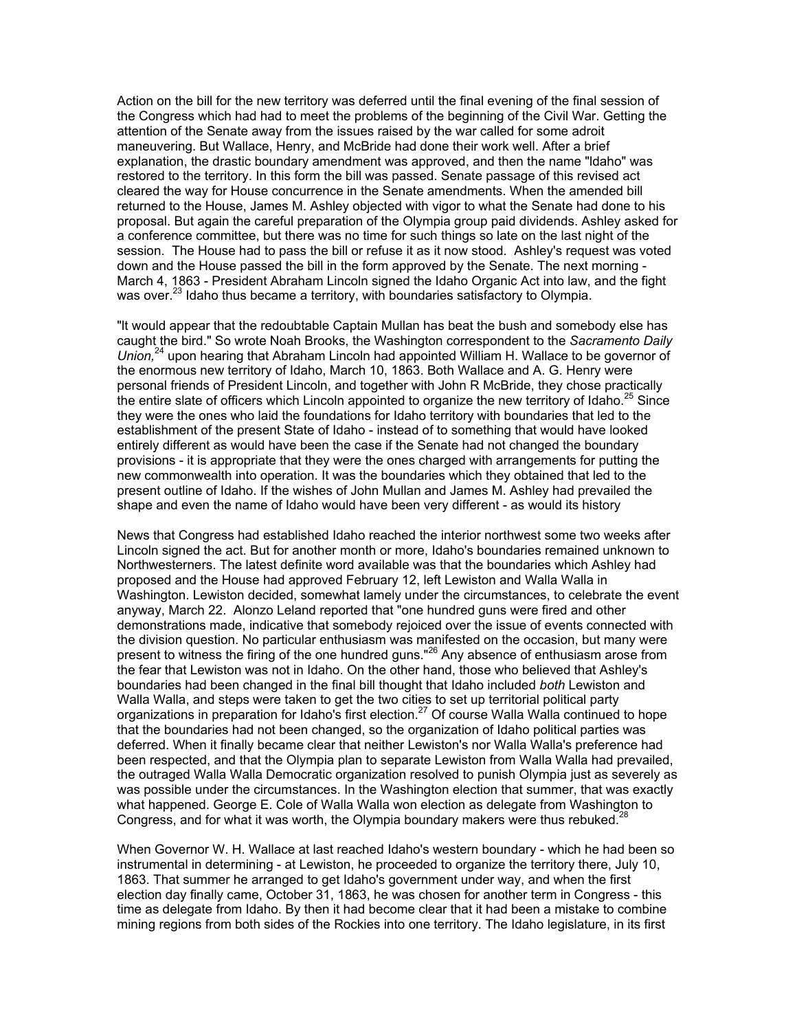Action on the bill for the new territory was deferred until the final evening of the final session of the Congress which had had to meet the problems of the beginning of the Civil War. Getting the attention of the Senate away from the issues raised by the war called for some adroit maneuvering. But Wallace, Henry, and McBride had done their work well. After a brief explanation, the drastic boundary amendment was approved, and then the name "ldaho" was restored to the territory. In this form the bill was passed. Senate passage of this revised act cleared the way for House concurrence in the Senate amendments. When the amended bill returned to the House, James M. Ashley objected with vigor to what the Senate had done to his proposal. But again the careful preparation of the Olympia group paid dividends. Ashley asked for a conference committee, but there was no time for such things so late on the last night of the session. The House had to pass the bill or refuse it as it now stood. Ashley's request was voted down and the House passed the bill in the form approved by the Senate. The next morning - March 4, 1863 - President Abraham Lincoln signed the Idaho Organic Act into law, and the fight was over.<sup>23</sup> Idaho thus became a territory, with boundaries satisfactory to Olympia.

"lt would appear that the redoubtable Captain Mullan has beat the bush and somebody else has caught the bird." So wrote Noah Brooks, the Washington correspondent to the *Sacramento Daily Union,*24 upon hearing that Abraham Lincoln had appointed William H. Wallace to be governor of the enormous new territory of Idaho, March 10, 1863. Both Wallace and A. G. Henry were personal friends of President Lincoln, and together with John R McBride, they chose practically the entire slate of officers which Lincoln appointed to organize the new territory of Idaho.<sup>25</sup> Since they were the ones who laid the foundations for Idaho territory with boundaries that led to the establishment of the present State of Idaho - instead of to something that would have looked entirely different as would have been the case if the Senate had not changed the boundary provisions - it is appropriate that they were the ones charged with arrangements for putting the new commonwealth into operation. It was the boundaries which they obtained that led to the present outline of Idaho. If the wishes of John Mullan and James M. Ashley had prevailed the shape and even the name of Idaho would have been very different - as would its history

News that Congress had established Idaho reached the interior northwest some two weeks after Lincoln signed the act. But for another month or more, Idaho's boundaries remained unknown to Northwesterners. The latest definite word available was that the boundaries which Ashley had proposed and the House had approved February 12, left Lewiston and Walla Walla in Washington. Lewiston decided, somewhat lamely under the circumstances, to celebrate the event anyway, March 22. Alonzo Leland reported that "one hundred guns were fired and other demonstrations made, indicative that somebody rejoiced over the issue of events connected with the division question. No particular enthusiasm was manifested on the occasion, but many were present to witness the firing of the one hundred guns."<sup>26</sup> Any absence of enthusiasm arose from the fear that Lewiston was not in Idaho. On the other hand, those who believed that Ashley's boundaries had been changed in the final bill thought that Idaho included *both* Lewiston and Walla Walla, and steps were taken to get the two cities to set up territorial political party organizations in preparation for Idaho's first election.<sup>27</sup> Of course Walla Walla continued to hope that the boundaries had not been changed, so the organization of Idaho political parties was deferred. When it finally became clear that neither Lewiston's nor Walla Walla's preference had been respected, and that the Olympia plan to separate Lewiston from Walla Walla had prevailed, the outraged Walla Walla Democratic organization resolved to punish Olympia just as severely as was possible under the circumstances. In the Washington election that summer, that was exactly what happened. George E. Cole of Walla Walla won election as delegate from Washington to Congress, and for what it was worth, the Olympia boundary makers were thus rebuked.<sup>28</sup>

When Governor W. H. Wallace at last reached Idaho's western boundary - which he had been so instrumental in determining - at Lewiston, he proceeded to organize the territory there, July 10, 1863. That summer he arranged to get Idaho's government under way, and when the first election day finally came, October 31, 1863, he was chosen for another term in Congress - this time as delegate from Idaho. By then it had become clear that it had been a mistake to combine mining regions from both sides of the Rockies into one territory. The Idaho legislature, in its first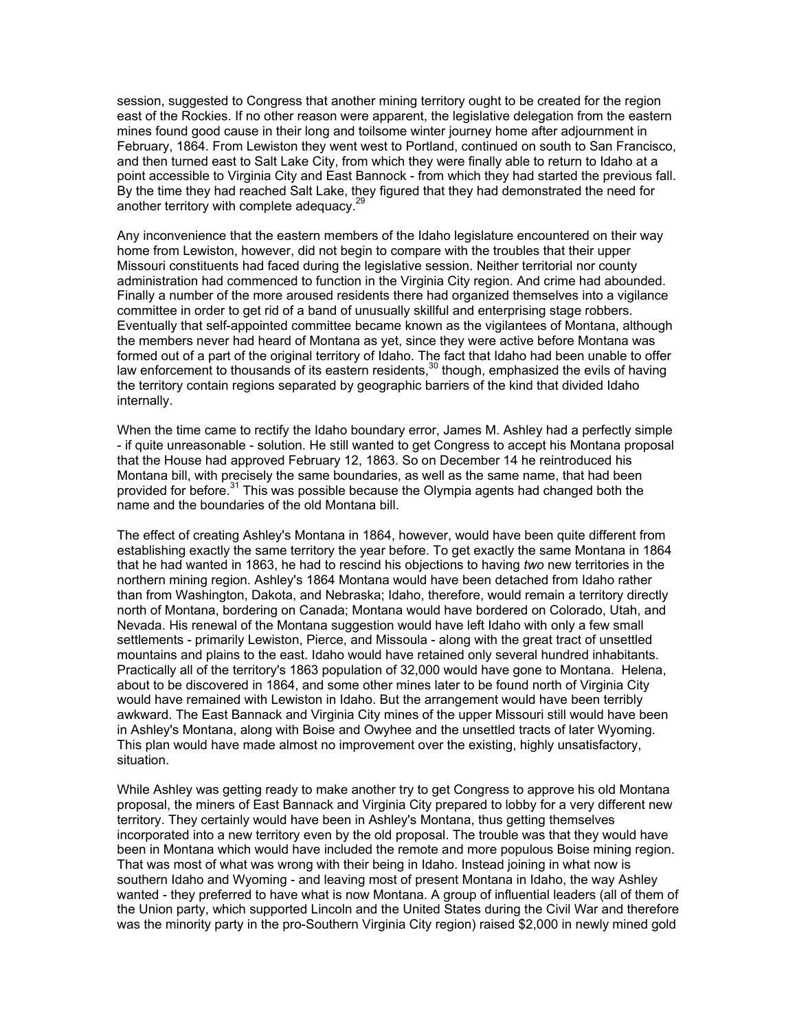session, suggested to Congress that another mining territory ought to be created for the region east of the Rockies. If no other reason were apparent, the legislative delegation from the eastern mines found good cause in their long and toilsome winter journey home after adjournment in February, 1864. From Lewiston they went west to Portland, continued on south to San Francisco, and then turned east to Salt Lake City, from which they were finally able to return to Idaho at a point accessible to Virginia City and East Bannock - from which they had started the previous fall. By the time they had reached Salt Lake, they figured that they had demonstrated the need for another territory with complete adequacy.<sup>29</sup>

Any inconvenience that the eastern members of the Idaho legislature encountered on their way home from Lewiston, however, did not begin to compare with the troubles that their upper Missouri constituents had faced during the legislative session. Neither territorial nor county administration had commenced to function in the Virginia City region. And crime had abounded. Finally a number of the more aroused residents there had organized themselves into a vigilance committee in order to get rid of a band of unusually skillful and enterprising stage robbers. Eventually that self-appointed committee became known as the vigilantees of Montana, although the members never had heard of Montana as yet, since they were active before Montana was formed out of a part of the original territory of Idaho. The fact that Idaho had been unable to offer law enforcement to thousands of its eastern residents,<sup>30</sup> though, emphasized the evils of having the territory contain regions separated by geographic barriers of the kind that divided Idaho internally.

When the time came to rectify the Idaho boundary error, James M. Ashley had a perfectly simple - if quite unreasonable - solution. He still wanted to get Congress to accept his Montana proposal that the House had approved February 12, 1863. So on December 14 he reintroduced his Montana bill, with precisely the same boundaries, as well as the same name, that had been provided for before.<sup>31</sup> This was possible because the Olympia agents had changed both the name and the boundaries of the old Montana bill.

The effect of creating Ashley's Montana in 1864, however, would have been quite different from establishing exactly the same territory the year before. To get exactly the same Montana in 1864 that he had wanted in 1863, he had to rescind his objections to having *two* new territories in the northern mining region. Ashley's 1864 Montana would have been detached from Idaho rather than from Washington, Dakota, and Nebraska; Idaho, therefore, would remain a territory directly north of Montana, bordering on Canada; Montana would have bordered on Colorado, Utah, and Nevada. His renewal of the Montana suggestion would have left Idaho with only a few small settlements - primarily Lewiston, Pierce, and Missoula - along with the great tract of unsettled mountains and plains to the east. Idaho would have retained only several hundred inhabitants. Practically all of the territory's 1863 population of 32,000 would have gone to Montana. Helena, about to be discovered in 1864, and some other mines later to be found north of Virginia City would have remained with Lewiston in Idaho. But the arrangement would have been terribly awkward. The East Bannack and Virginia City mines of the upper Missouri still would have been in Ashley's Montana, along with Boise and Owyhee and the unsettled tracts of later Wyoming. This plan would have made almost no improvement over the existing, highly unsatisfactory, situation.

While Ashley was getting ready to make another try to get Congress to approve his old Montana proposal, the miners of East Bannack and Virginia City prepared to lobby for a very different new territory. They certainly would have been in Ashley's Montana, thus getting themselves incorporated into a new territory even by the old proposal. The trouble was that they would have been in Montana which would have included the remote and more populous Boise mining region. That was most of what was wrong with their being in Idaho. Instead joining in what now is southern Idaho and Wyoming - and leaving most of present Montana in Idaho, the way Ashley wanted - they preferred to have what is now Montana. A group of influential leaders (all of them of the Union party, which supported Lincoln and the United States during the Civil War and therefore was the minority party in the pro-Southern Virginia City region) raised \$2,000 in newly mined gold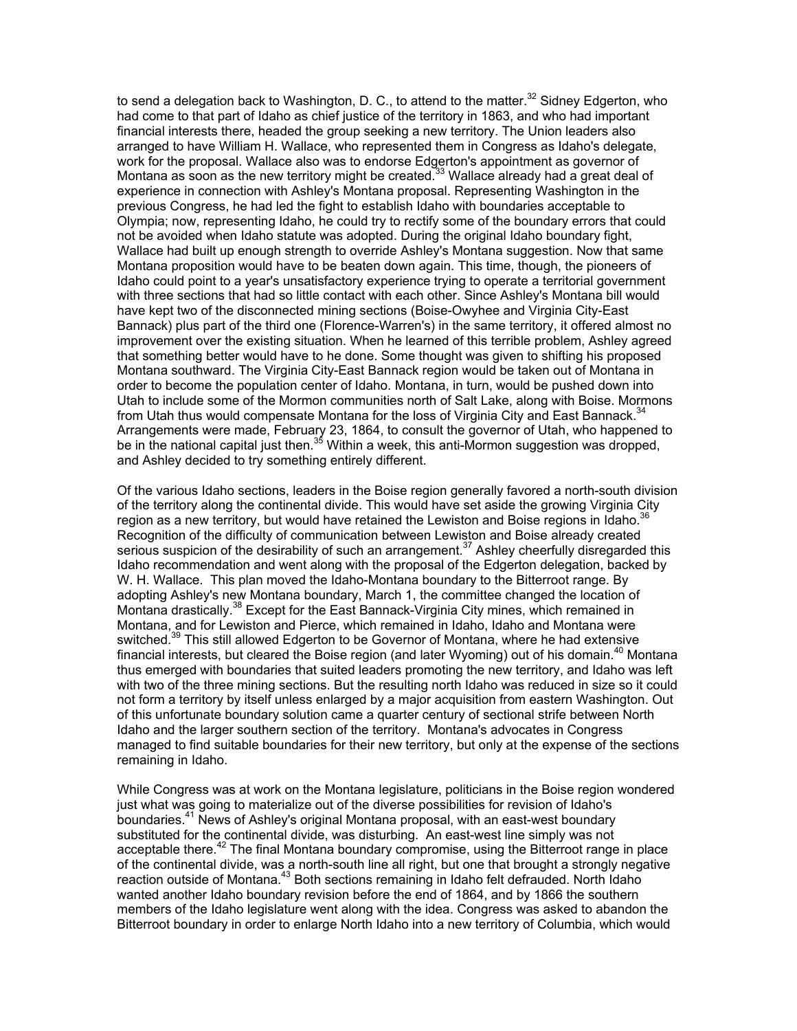to send a delegation back to Washington, D. C., to attend to the matter.<sup>32</sup> Sidney Edgerton, who had come to that part of Idaho as chief justice of the territory in 1863, and who had important financial interests there, headed the group seeking a new territory. The Union leaders also arranged to have William H. Wallace, who represented them in Congress as Idaho's delegate, work for the proposal. Wallace also was to endorse Edgerton's appointment as governor of Montana as soon as the new territory might be created.<sup>33</sup> Wallace already had a great deal of experience in connection with Ashley's Montana proposal. Representing Washington in the previous Congress, he had led the fight to establish Idaho with boundaries acceptable to Olympia; now, representing Idaho, he could try to rectify some of the boundary errors that could not be avoided when Idaho statute was adopted. During the original Idaho boundary fight, Wallace had built up enough strength to override Ashley's Montana suggestion. Now that same Montana proposition would have to be beaten down again. This time, though, the pioneers of Idaho could point to a year's unsatisfactory experience trying to operate a territorial government with three sections that had so little contact with each other. Since Ashley's Montana bill would have kept two of the disconnected mining sections (Boise-Owyhee and Virginia City-East Bannack) plus part of the third one (Florence-Warren's) in the same territory, it offered almost no improvement over the existing situation. When he learned of this terrible problem, Ashley agreed that something better would have to he done. Some thought was given to shifting his proposed Montana southward. The Virginia City-East Bannack region would be taken out of Montana in order to become the population center of Idaho. Montana, in turn, would be pushed down into Utah to include some of the Mormon communities north of Salt Lake, along with Boise. Mormons from Utah thus would compensate Montana for the loss of Virginia City and East Bannack.<sup>34</sup> Arrangements were made, February 23, 1864, to consult the governor of Utah, who happened to be in the national capital just then.<sup>35</sup> Within a week, this anti-Mormon suggestion was dropped, and Ashley decided to try something entirely different.

Of the various Idaho sections, leaders in the Boise region generally favored a north-south division of the territory along the continental divide. This would have set aside the growing Virginia City region as a new territory, but would have retained the Lewiston and Boise regions in Idaho.<sup>36</sup> Recognition of the difficulty of communication between Lewiston and Boise already created serious suspicion of the desirability of such an arrangement.<sup>37</sup> Ashley cheerfully disregarded this Idaho recommendation and went along with the proposal of the Edgerton delegation, backed by W. H. Wallace. This plan moved the Idaho-Montana boundary to the Bitterroot range. By adopting Ashley's new Montana boundary, March 1, the committee changed the location of Montana drastically.<sup>38</sup> Except for the East Bannack-Virginia City mines, which remained in Montana, and for Lewiston and Pierce, which remained in Idaho, Idaho and Montana were switched.<sup>39</sup> This still allowed Edgerton to be Governor of Montana, where he had extensive financial interests, but cleared the Boise region (and later Wyoming) out of his domain.<sup>40</sup> Montana thus emerged with boundaries that suited leaders promoting the new territory, and Idaho was left with two of the three mining sections. But the resulting north Idaho was reduced in size so it could not form a territory by itself unless enlarged by a major acquisition from eastern Washington. Out of this unfortunate boundary solution came a quarter century of sectional strife between North Idaho and the larger southern section of the territory. Montana's advocates in Congress managed to find suitable boundaries for their new territory, but only at the expense of the sections remaining in Idaho.

While Congress was at work on the Montana legislature, politicians in the Boise region wondered just what was going to materialize out of the diverse possibilities for revision of Idaho's boundaries.<sup>41</sup> News of Ashley's original Montana proposal, with an east-west boundary substituted for the continental divide, was disturbing. An east-west line simply was not acceptable there.<sup>42</sup> The final Montana boundary compromise, using the Bitterroot range in place of the continental divide, was a north-south line all right, but one that brought a strongly negative reaction outside of Montana.43 Both sections remaining in Idaho felt defrauded. North Idaho wanted another Idaho boundary revision before the end of 1864, and by 1866 the southern members of the Idaho legislature went along with the idea. Congress was asked to abandon the Bitterroot boundary in order to enlarge North Idaho into a new territory of Columbia, which would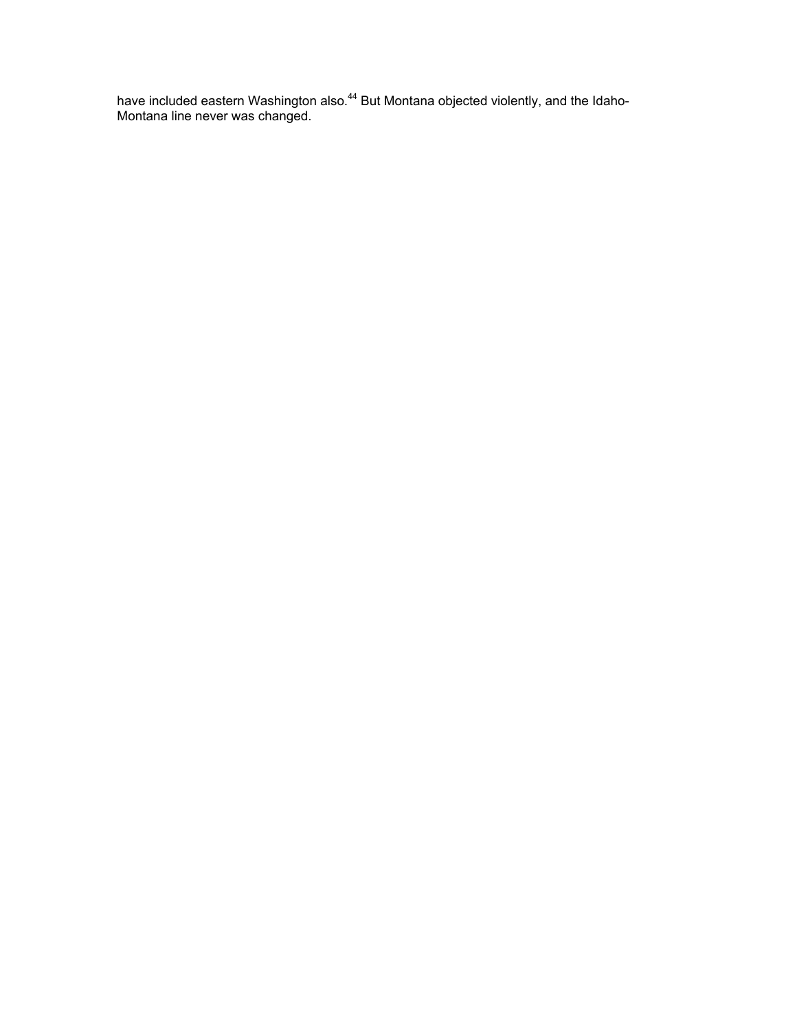have included eastern Washington also.<sup>44</sup> But Montana objected violently, and the Idaho-Montana line never was changed.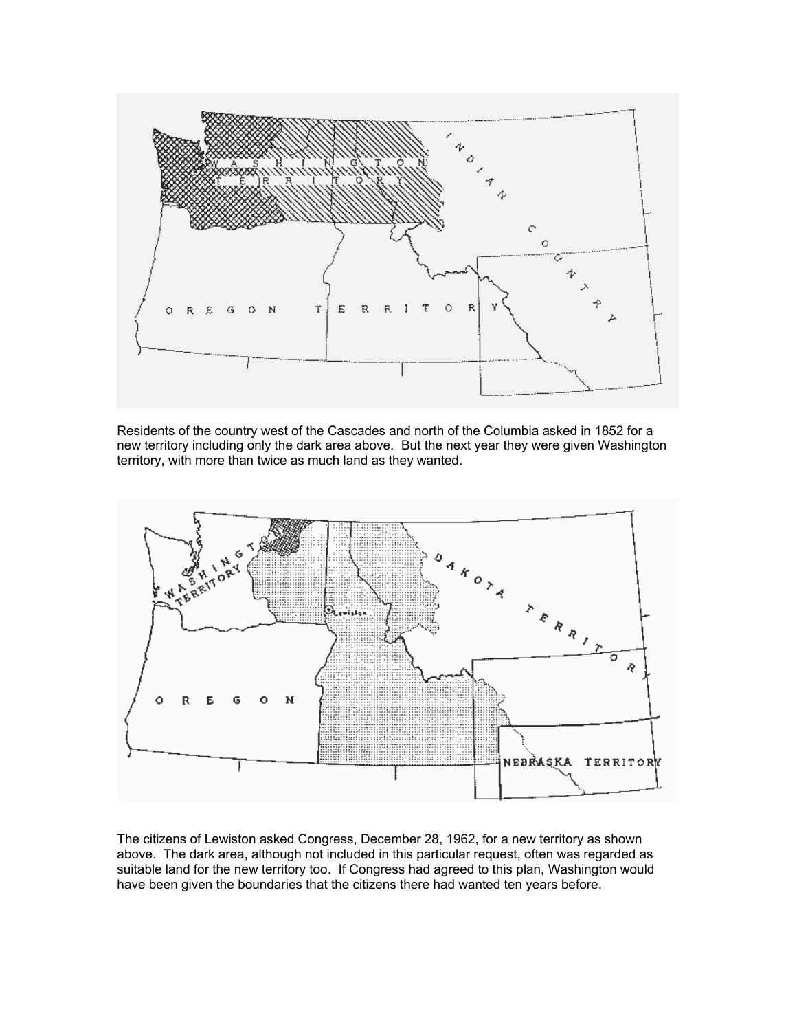

Residents of the country west of the Cascades and north of the Columbia asked in 1852 for a new territory including only the dark area above. But the next year they were given Washington territory, with more than twice as much land as they wanted.



The citizens of Lewiston asked Congress, December 28, 1962, for a new territory as shown above. The dark area, although not included in this particular request, often was regarded as suitable land for the new territory too. If Congress had agreed to this plan, Washington would have been given the boundaries that the citizens there had wanted ten years before.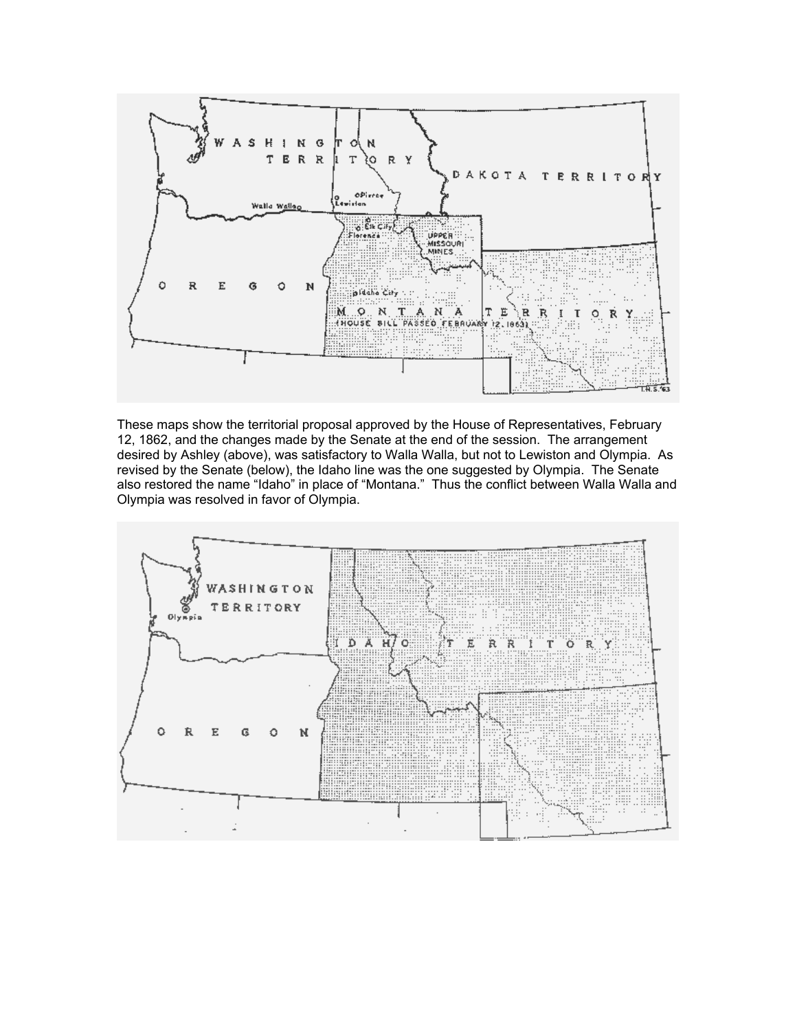

These maps show the territorial proposal approved by the House of Representatives, February 12, 1862, and the changes made by the Senate at the end of the session. The arrangement desired by Ashley (above), was satisfactory to Walla Walla, but not to Lewiston and Olympia. As revised by the Senate (below), the Idaho line was the one suggested by Olympia. The Senate also restored the name "Idaho" in place of "Montana." Thus the conflict between Walla Walla and Olympia was resolved in favor of Olympia.

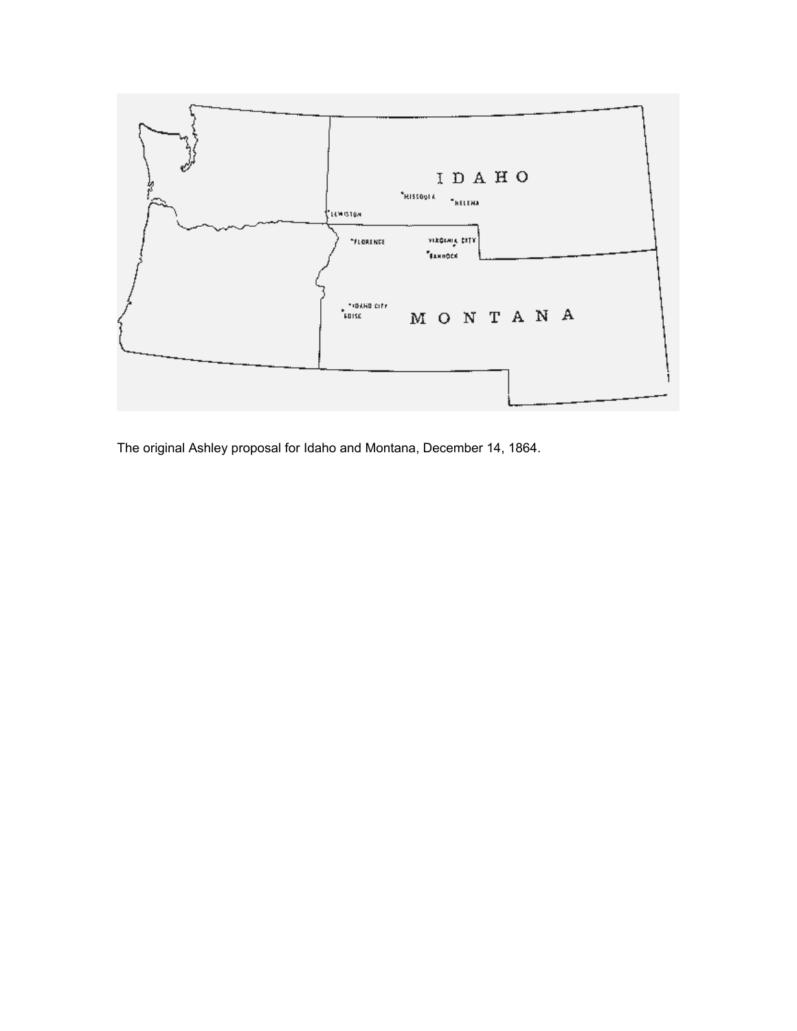

The original Ashley proposal for Idaho and Montana, December 14, 1864.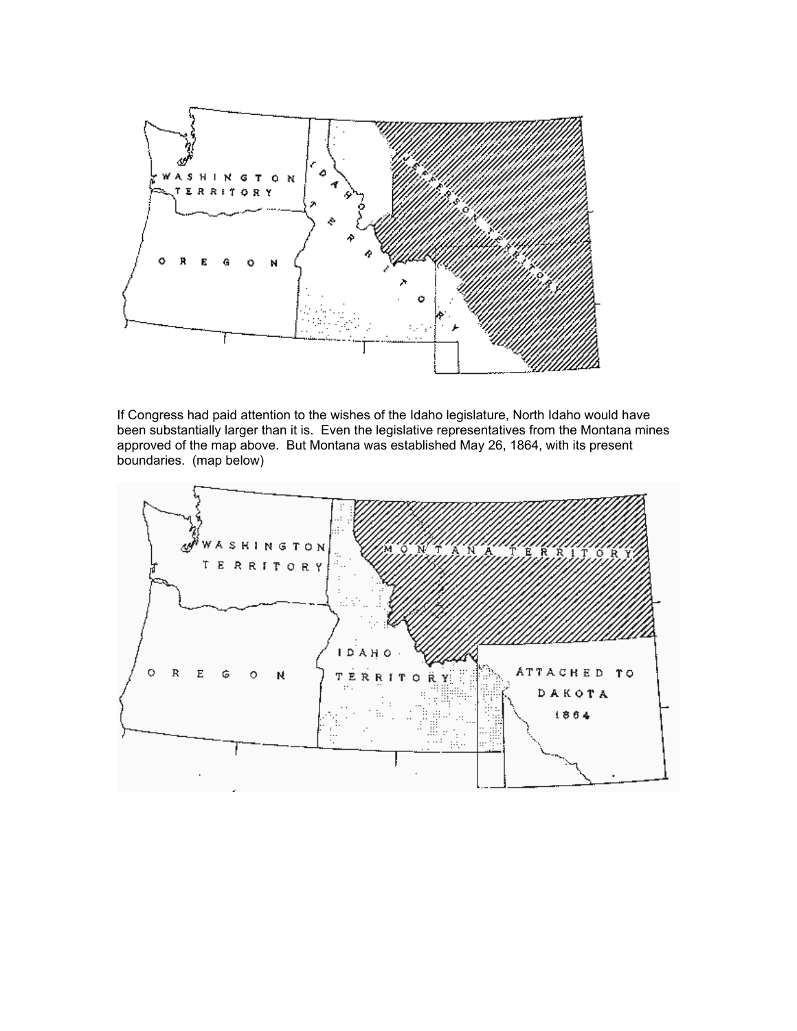

If Congress had paid attention to the wishes of the Idaho legislature, North Idaho would have been substantially larger than it is. Even the legislative representatives from the Montana mines approved of the map above. But Montana was established May 26, 1864, with its present boundaries. (map below)

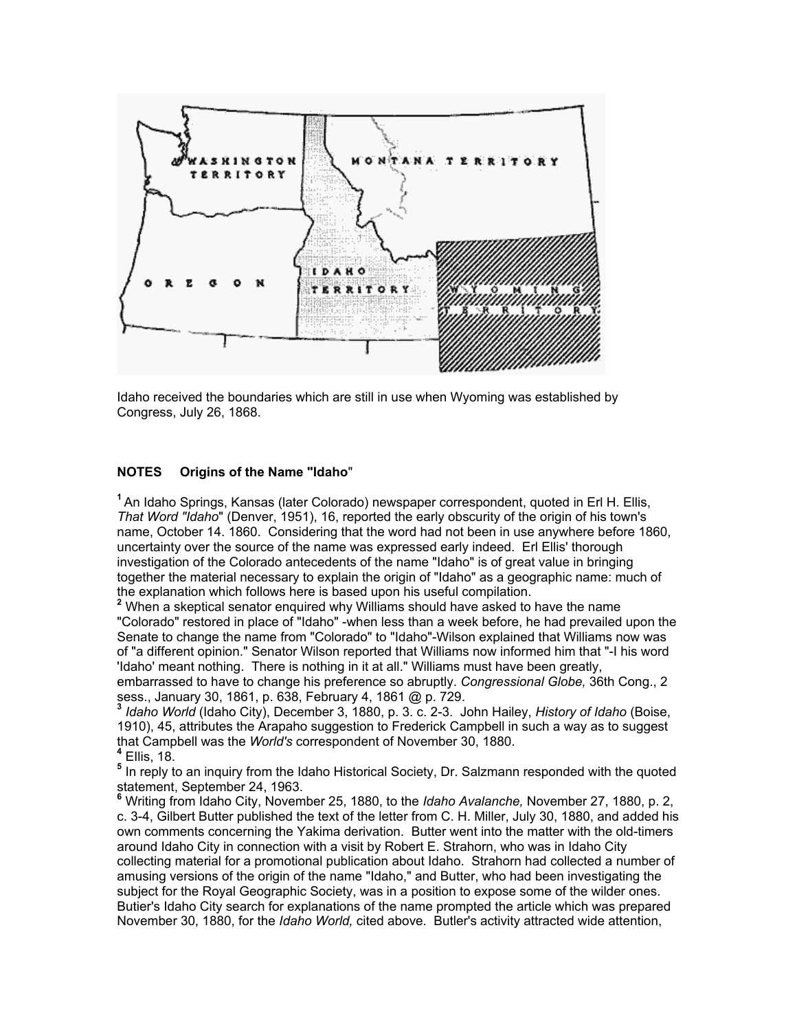

Idaho received the boundaries which are still in use when Wyoming was established by Congress, July 26, 1868.

# **NOTES Origins of the Name "Idaho**"

**<sup>1</sup>** An Idaho Springs, Kansas (later Colorado) newspaper correspondent, quoted in Erl H. Ellis, *That Word "Idaho*" (Denver, 1951), 16, reported the early obscurity of the origin of his town's name, October 14. 1860. Considering that the word had not been in use anywhere before 1860, uncertainty over the source of the name was expressed early indeed. Erl Ellis' thorough investigation of the Colorado antecedents of the name "Idaho" is of great value in bringing together the material necessary to explain the origin of "Idaho" as a geographic name: much of the explanation which follows here is based upon his useful compilation.

**2** When a skeptical senator enquired why Williams should have asked to have the name "Colorado" restored in place of "Idaho" -when less than a week before, he had prevailed upon the Senate to change the name from "Colorado" to "Idaho"-Wilson explained that Williams now was of "a different opinion." Senator Wilson reported that Williams now informed him that "-I his word 'Idaho' meant nothing. There is nothing in it at all." Williams must have been greatly, embarrassed to have to change his preference so abruptly. *Congressional Globe,* 36th Cong., 2

sess., January 30, 1861, p. 638, February 4, 1861 @ p. 729. **<sup>3</sup>**

 *Idaho World* (Idaho City), December 3, 1880, p. 3. c. 2-3. John Hailey, *History of Idaho* (Boise, 1910), 45, attributes the Arapaho suggestion to Frederick Campbell in such a way as to suggest that Campbell was the *World's* correspondent of November 30, 1880. **<sup>4</sup>** EIlis, 18.

**5** In reply to an inquiry from the Idaho Historical Society, Dr. Salzmann responded with the quoted statement, September 24, 1963.

**6** Writing from Idaho City, November 25, 1880, to the *Idaho Avalanche,* November 27, 1880, p. 2, c. 3-4, Gilbert Butter published the text of the letter from C. H. Miller, July 30, 1880, and added his own comments concerning the Yakima derivation. Butter went into the matter with the old-timers around Idaho City in connection with a visit by Robert E. Strahorn, who was in Idaho City collecting material for a promotional publication about Idaho. Strahorn had collected a number of amusing versions of the origin of the name "Idaho," and Butter, who had been investigating the subject for the Royal Geographic Society, was in a position to expose some of the wilder ones. Butier's Idaho City search for explanations of the name prompted the article which was prepared November 30, 1880, for the *Idaho World,* cited above. Butler's activity attracted wide attention,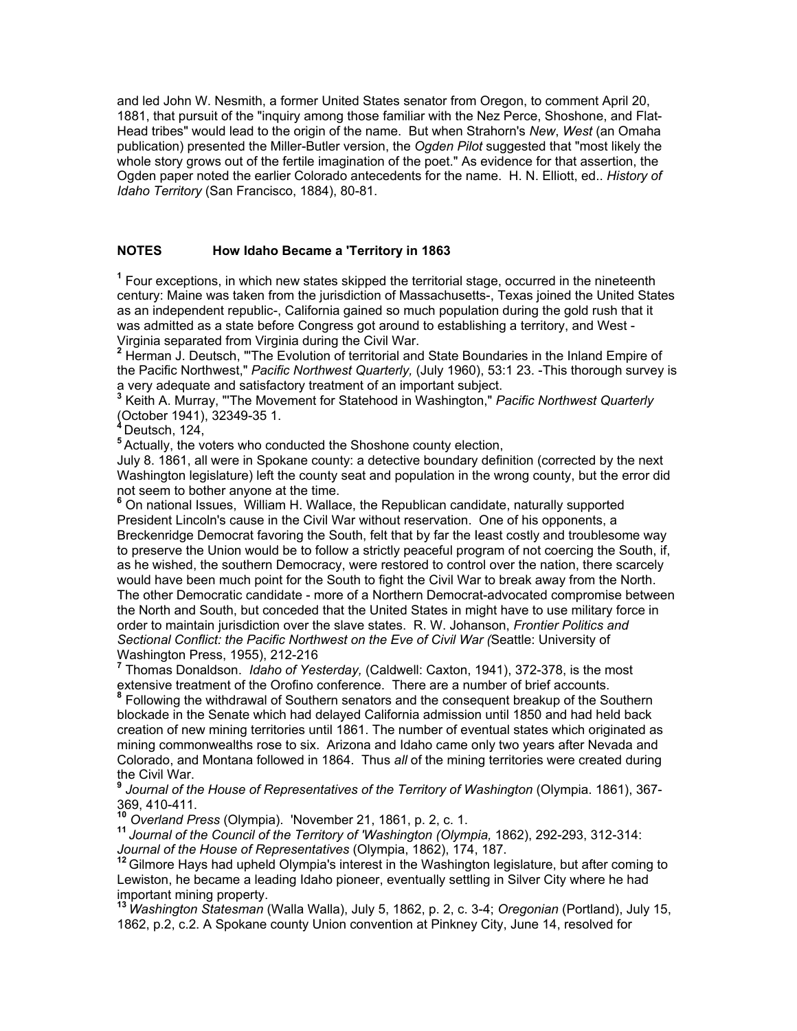and led John W. Nesmith, a former United States senator from Oregon, to comment April 20, 1881, that pursuit of the "inquiry among those familiar with the Nez Perce, Shoshone, and Flat-Head tribes" would lead to the origin of the name. But when Strahorn's *New*, *West* (an Omaha publication) presented the Miller-Butler version, the *Ogden Pilot* suggested that "most likely the whole story grows out of the fertile imagination of the poet." As evidence for that assertion, the Ogden paper noted the earlier Colorado antecedents for the name. H. N. Elliott, ed.. *History of Idaho Territory* (San Francisco, 1884), 80-81.

# **NOTES How Idaho Became a 'Territory in 1863**

<sup>1</sup> Four exceptions, in which new states skipped the territorial stage, occurred in the nineteenth century: Maine was taken from the jurisdiction of Massachusetts-, Texas joined the United States as an independent republic-, California gained so much population during the gold rush that it was admitted as a state before Congress got around to establishing a territory, and West - Virginia separated from Virginia during the Civil War.

<sup>2</sup> Herman J. Deutsch, "'The Evolution of territorial and State Boundaries in the Inland Empire of the Pacific Northwest," *Pacific Northwest Quarterly,* (July 1960), 53:1 23. -This thorough survey is a very adequate and satisfactory treatment of an important subject.

**3** Keith A. Murray, "'The Movement for Statehood in Washington," *Pacific Northwest Quarterly*  (October 1941), 32349-35 1.

**<sup>4</sup>**Deutsch, 124,

**<sup>5</sup>** Actually, the voters who conducted the Shoshone county election,

July 8. 1861, all were in Spokane county: a detective boundary definition (corrected by the next Washington legislature) left the county seat and population in the wrong county, but the error did not seem to bother anyone at the time.

**6** On national Issues, William H. Wallace, the Republican candidate, naturally supported President Lincoln's cause in the Civil War without reservation. One of his opponents, a Breckenridge Democrat favoring the South, felt that by far the Ieast costly and troublesome way to preserve the Union would be to follow a strictly peaceful program of not coercing the South, if, as he wished, the southern Democracy, were restored to control over the nation, there scarcely would have been much point for the South to fight the Civil War to break away from the North. The other Democratic candidate - more of a Northern Democrat-advocated compromise between the North and South, but conceded that the United States in might have to use military force in order to maintain jurisdiction over the slave states. R. W. Johanson, *Frontier Politics and Sectional Conflict: the Pacific Northwest on the Eve of Civil War (*Seattle: University of Washington Press, 1955), 212-216

**7** Thomas Donaldson. *Idaho of Yesterday,* (Caldwell: Caxton, 1941), 372-378, is the most extensive treatment of the Orofino conference. There are a number of brief accounts.

**8** Following the withdrawal of Southern senators and the consequent breakup of the Southern blockade in the Senate which had delayed California admission until 1850 and had held back creation of new mining territories until 1861. The number of eventual states which originated as mining commonwealths rose to six. Arizona and Idaho came only two years after Nevada and Colorado, and Montana followed in 1864. Thus *all* of the mining territories were created during the Civil War.

**9**  *Journal of the House of Representatives of the Territory of Washington* (Olympia. 1861), 367- 369, 410-411.<br><sup>10</sup> Overland Press (Olympia). 'November 21, 1861, p. 2, c. 1.

<sup>11</sup> Journal of the Council of the Territory of 'Washington (Olympia, 1862), 292-293, 312-314: Journal of the House of Representatives (Olympia, 1862), 174, 187.<br><sup>12</sup> Gilmore Hays had upheld Olympia's interest in the Washington legislature, but after coming to

Lewiston, he became a leading Idaho pioneer, eventually settling in Silver City where he had important mining property.

**<sup>13</sup>***Washington Statesman* (Walla Walla), July 5, 1862, p. 2, c. 3-4; *Oregonian* (Portland), July 15, 1862, p.2, c.2. A Spokane county Union convention at Pinkney City, June 14, resolved for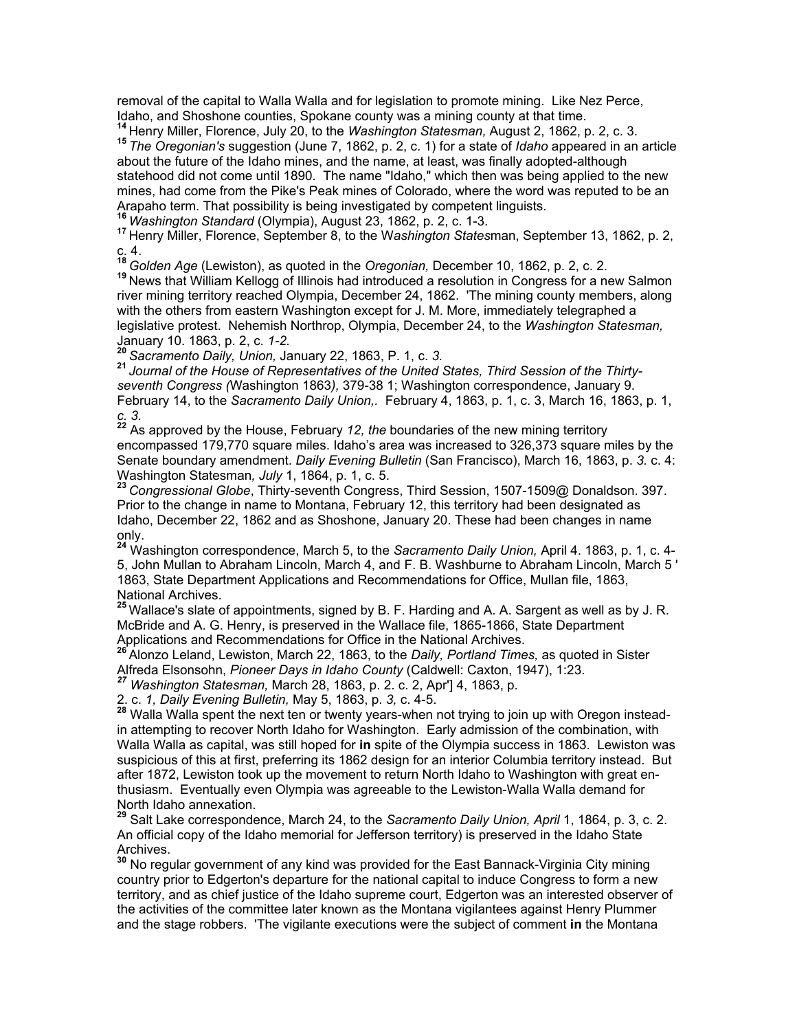removal of the capital to Walla Walla and for legislation to promote mining. Like Nez Perce,

Idaho, and Shoshone counties, Spokane county was a mining county at that time.<br><sup>14</sup> Henry Miller, Florence, July 20, to the *Washington Statesman,* August 2, 1862, p. 2, c. 3.<br><sup>15</sup> The Oregonian's suggestion (June 7, 1862, about the future of the Idaho mines, and the name, at least, was finally adopted-although statehood did not come until 1890. The name "Idaho," which then was being applied to the new mines, had come from the Pike's Peak mines of Colorado, where the word was reputed to be an Arapaho term. That possibility is being investigated by competent linguists.<br><sup>16</sup> Washington Standard (Olympia), August 23, 1862, p. 2, c. 1-3.<br><sup>17</sup> Henry Miller, Florence, September 8, to the Washington Statesman, Septemb

c. 4.

<sup>18</sup> *Golden Age* (Lewiston), as quoted in the *Oregonian,* December 10, 1862, p. 2, c. 2.<br><sup>19</sup> News that William Kellogg of Illinois had introduced a resolution in Congress for a new Salmon river mining territory reached Olympia, December 24, 1862. 'The mining county members, along with the others from eastern Washington except for J. M. More, immediately telegraphed a legislative protest. Nehemish Northrop, Olympia, December 24, to the *Washington Statesman,*  January 10. 1863, p. 2, c. *1-2.*

**<sup>20</sup>***Sacramento Daily, Union,* January 22, 1863, P. 1, c. *3.*

**<sup>21</sup>***Journal of the House of Representatives of the United States, Third Session of the Thirtyseventh Congress (*Washington 1863*),* 379-38 1; Washington correspondence, January 9. February 14, to the *Sacramento Daily Union,.* February 4, 1863, p. 1, c. 3, March 16, 1863, p. 1, *c. 3.*

**<sup>22</sup>** As approved by the House, February *12, the* boundaries of the new mining territory encompassed 179,770 square miles. Idaho's area was increased to 326,373 square miles by the Senate boundary amendment. *Daily Evening Bulletin* (San Francisco), March 16, 1863, p. *3.* c. 4: Washington Statesman, July 1, 1864, p. 1, c. 5.<br><sup>23</sup> Congressional Globe, Thirty-seventh Congress, Third Session, 1507-1509@ Donaldson. 397.

Prior to the change in name to Montana, February 12, this territory had been designated as Idaho, December 22, 1862 and as Shoshone, January 20. These had been changes in name only.

**<sup>24</sup>** Washington correspondence, March 5, to the *Sacramento Daily Union,* April 4. 1863, p. 1, c. 4- 5, John Mullan to Abraham Lincoln, March 4, and F. B. Washburne to Abraham Lincoln, March 5 ' 1863, State Department Applications and Recommendations for Office, Mullan file, 1863, National Archives.

**<sup>25</sup>**Wallace's slate of appointments, signed by B. F. Harding and A. A. Sargent as well as by J. R. McBride and A. G. Henry, is preserved in the Wallace file, 1865-1866, State Department Applications and Recommendations for Office in the National Archives.

**<sup>26</sup>**Alonzo Leland, Lewiston, March 22, 1863, to the *Daily, Portland Times,* as quoted in Sister Alfreda Elsonsohn, *Pioneer Days in Idaho County* (Caldwell: Caxton, 1947), 1:23. *<sup>27</sup> Washington Statesman,* March 28, 1863, p. 2. c. 2, Apr'] 4, 1863, p.

2. c. *1, Daily Evening Bulletin,* May 5, 1863, p. *3,* c. 4-5.

**<sup>28</sup>** Walla Walla spent the next ten or twenty years-when not trying to join up with Oregon insteadin attempting to recover North Idaho for Washington. Early admission of the combination, with Walla Walla as capital, was still hoped for **in** spite of the Olympia success in 1863. Lewiston was suspicious of this at first, preferring its 1862 design for an interior Columbia territory instead. But after 1872, Lewiston took up the movement to return North Idaho to Washington with great enthusiasm. Eventually even Olympia was agreeable to the Lewiston-Walla Walla demand for North Idaho annexation.

**<sup>29</sup>** Salt Lake correspondence, March 24, to the *Sacramento Daily Union, April* 1, 1864, p. 3, c. 2. An official copy of the Idaho memorial for Jefferson territory) is preserved in the Idaho State Archives.

**<sup>30</sup>** No regular government of any kind was provided for the East Bannack-Virginia City mining country prior to Edgerton's departure for the national capital to induce Congress to form a new territory, and as chief justice of the Idaho supreme court, Edgerton was an interested observer of the activities of the committee later known as the Montana vigilantees against Henry Plummer and the stage robbers. 'The vigilante executions were the subject of comment **in** the Montana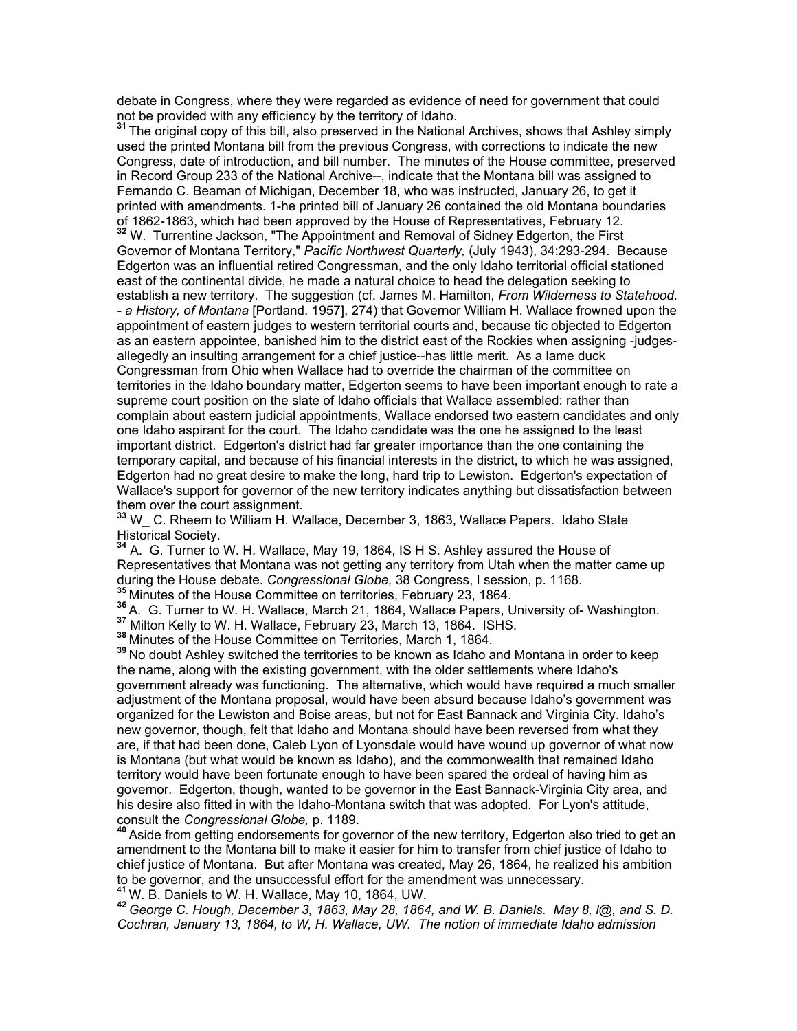debate in Congress, where they were regarded as evidence of need for government that could not be provided with any efficiency by the territory of Idaho. **<sup>31</sup>**The original copy of this bill, also preserved in the National Archives, shows that Ashley simply

used the printed Montana bill from the previous Congress, with corrections to indicate the new Congress, date of introduction, and bill number. The minutes of the House committee, preserved in Record Group 233 of the National Archive--, indicate that the Montana bill was assigned to Fernando C. Beaman of Michigan, December 18, who was instructed, January 26, to get it printed with amendments. 1-he printed bill of January 26 contained the old Montana boundaries of 1862-1863, which had been approved by the House of Representatives, February 12. **<sup>32</sup>** W.Turrentine Jackson, "The Appointment and Removal of Sidney Edgerton, the First

Governor of Montana Territory," *Pacific Northwest Quarterly,* (July 1943), 34:293-294. Because Edgerton was an influential retired Congressman, and the only Idaho territorial official stationed east of the continental divide, he made a natural choice to head the delegation seeking to establish a new territory. The suggestion (cf. James M. Hamilton, *From Wilderness to Statehood. - a History, of Montana* [Portland. 1957], 274) that Governor William H. Wallace frowned upon the appointment of eastern judges to western territorial courts and, because tic objected to Edgerton as an eastern appointee, banished him to the district east of the Rockies when assigning -judgesallegedly an insulting arrangement for a chief justice--has little merit. As a lame duck Congressman from Ohio when Wallace had to override the chairman of the committee on territories in the Idaho boundary matter, Edgerton seems to have been important enough to rate a supreme court position on the slate of Idaho officials that Wallace assembled: rather than complain about eastern judicial appointments, Wallace endorsed two eastern candidates and only one Idaho aspirant for the court. The Idaho candidate was the one he assigned to the least important district. Edgerton's district had far greater importance than the one containing the temporary capital, and because of his financial interests in the district, to which he was assigned, Edgerton had no great desire to make the long, hard trip to Lewiston. Edgerton's expectation of Wallace's support for governor of the new territory indicates anything but dissatisfaction between them over the court assignment.

**<sup>33</sup>** W\_ C. Rheem to William H. Wallace, December 3, 1863, Wallace Papers. Idaho State Historical Society.

**<sup>34</sup>** A. G. Turner to W. H. Wallace, May 19, 1864, IS H S. Ashley assured the House of Representatives that Montana was not getting any territory from Utah when the matter came up during the House debate. Congressional Globe, 38 Congress, I session, p. 1168.

<sup>35</sup> Minutes of the House Committee on territories, February 23, 1864.<br><sup>36</sup> A. G. Turner to W. H. Wallace, March 21, 1864, Wallace Papers, University of- Washington.<br><sup>37</sup> Milton Kelly to W. H. Wallace, February 23, March 1

**<sup>39</sup>**No doubt Ashley switched the territories to be known as Idaho and Montana in order to keep the name, along with the existing government, with the older settlements where Idaho's government already was functioning. The alternative, which would have required a much smaller adjustment of the Montana proposal, would have been absurd because Idaho's government was organized for the Lewiston and Boise areas, but not for East Bannack and Virginia City. Idaho's new governor, though, felt that Idaho and Montana should have been reversed from what they are, if that had been done, Caleb Lyon of Lyonsdale would have wound up governor of what now is Montana (but what would be known as Idaho), and the commonwealth that remained Idaho territory would have been fortunate enough to have been spared the ordeal of having him as governor. Edgerton, though, wanted to be governor in the East Bannack-Virginia City area, and his desire also fitted in with the Idaho-Montana switch that was adopted. For Lyon's attitude, consult the *Congressional Globe,* p. 1189. **<sup>40</sup>**Aside from getting endorsements for governor of the new territory, Edgerton also tried to get an

amendment to the Montana bill to make it easier for him to transfer from chief justice of Idaho to chief justice of Montana. But after Montana was created, May 26, 1864, he realized his ambition to be governor, and the unsuccessful effort for the amendment was unnecessary.<br><sup>41</sup> W. B. Daniels to W. H. Wallace, May 10, 1864, UW.

<sup>42</sup> George C. Hough, December 3, 1863, May 28, 1864, and W. B. Daniels. May 8, l@, and S. D. *Cochran, January 13, 1864, to W, H. Wallace, UW. The notion of immediate Idaho admission*